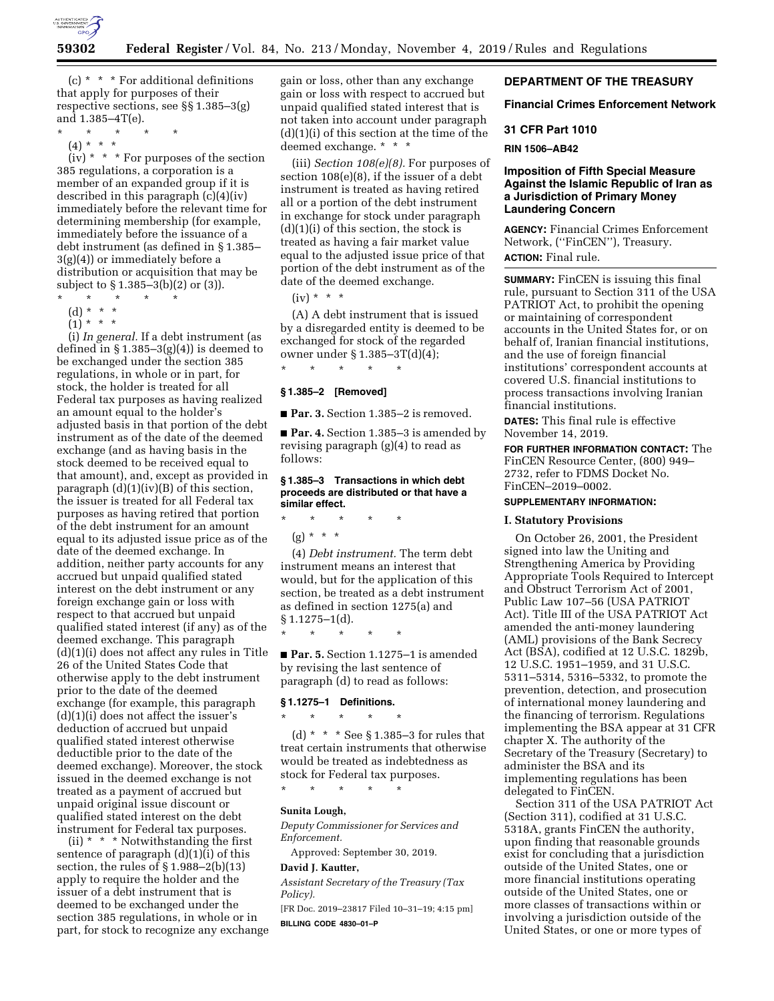

(c)  $*$   $*$   $*$  For additional definitions that apply for purposes of their respective sections, see §§ 1.385–3(g) and 1.385–4T(e).

- \* \* \* \* \*
- (4) \* \* \*

 $(iv) * * * For purposes of the section$ 385 regulations, a corporation is a member of an expanded group if it is described in this paragraph (c)(4)(iv) immediately before the relevant time for determining membership (for example, immediately before the issuance of a debt instrument (as defined in § 1.385– 3(g)(4)) or immediately before a distribution or acquisition that may be subject to § 1.385–3(b)(2) or (3)).

- \* \* \* \* \*
- (d) \* \* \*
- $(1) * * * *$

(i) *In general.* If a debt instrument (as defined in  $\S 1.385-3(g)(4)$  is deemed to be exchanged under the section 385 regulations, in whole or in part, for stock, the holder is treated for all Federal tax purposes as having realized an amount equal to the holder's adjusted basis in that portion of the debt instrument as of the date of the deemed exchange (and as having basis in the stock deemed to be received equal to that amount), and, except as provided in paragraph (d)(1)(iv)(B) of this section, the issuer is treated for all Federal tax purposes as having retired that portion of the debt instrument for an amount equal to its adjusted issue price as of the date of the deemed exchange. In addition, neither party accounts for any accrued but unpaid qualified stated interest on the debt instrument or any foreign exchange gain or loss with respect to that accrued but unpaid qualified stated interest (if any) as of the deemed exchange. This paragraph (d)(1)(i) does not affect any rules in Title 26 of the United States Code that otherwise apply to the debt instrument prior to the date of the deemed exchange (for example, this paragraph  $(d)(1)(i)$  does not affect the issuer's deduction of accrued but unpaid qualified stated interest otherwise deductible prior to the date of the deemed exchange). Moreover, the stock issued in the deemed exchange is not treated as a payment of accrued but unpaid original issue discount or qualified stated interest on the debt instrument for Federal tax purposes.

(ii)  $* * *$  Notwithstanding the first sentence of paragraph  $(d)(1)(i)$  of this section, the rules of  $\S 1.988-2(b)(13)$ apply to require the holder and the issuer of a debt instrument that is deemed to be exchanged under the section 385 regulations, in whole or in part, for stock to recognize any exchange gain or loss, other than any exchange gain or loss with respect to accrued but unpaid qualified stated interest that is not taken into account under paragraph (d)(1)(i) of this section at the time of the deemed exchange. \* \* \*

(iii) *Section 108(e)(8).* For purposes of section 108(e)(8), if the issuer of a debt instrument is treated as having retired all or a portion of the debt instrument in exchange for stock under paragraph  $(d)(1)(i)$  of this section, the stock is treated as having a fair market value equal to the adjusted issue price of that portion of the debt instrument as of the date of the deemed exchange.

 $(iv) * * * *$ 

(A) A debt instrument that is issued by a disregarded entity is deemed to be exchanged for stock of the regarded owner under § 1.385–3T(d)(4);

**§ 1.385–2 [Removed]** 

\* \* \* \* \*

■ **Par. 3.** Section 1.385–2 is removed.

■ **Par. 4.** Section 1.385–3 is amended by revising paragraph (g)(4) to read as follows:

### **§ 1.385–3 Transactions in which debt proceeds are distributed or that have a similar effect.**

\* \* \* \* \*

 $(g) * * * *$ 

(4) *Debt instrument.* The term debt instrument means an interest that would, but for the application of this section, be treated as a debt instrument as defined in section 1275(a) and  $§ 1.1275 - 1(d).$ 

\* \* \* \* \*

■ **Par. 5.** Section 1.1275–1 is amended by revising the last sentence of paragraph (d) to read as follows:

#### **§ 1.1275–1 Definitions.**

\* \* \* \* \*

(d)  $* * *$  See § 1.385-3 for rules that treat certain instruments that otherwise would be treated as indebtedness as stock for Federal tax purposes.

\* \* \* \* \*

# **Sunita Lough,**

*Deputy Commissioner for Services and Enforcement.* 

Approved: September 30, 2019.

# **David J. Kautter,**

*Assistant Secretary of the Treasury (Tax Policy).* 

[FR Doc. 2019–23817 Filed 10–31–19; 4:15 pm] **BILLING CODE 4830–01–P** 

## **DEPARTMENT OF THE TREASURY**

**Financial Crimes Enforcement Network** 

### **31 CFR Part 1010**

**RIN 1506–AB42** 

## **Imposition of Fifth Special Measure Against the Islamic Republic of Iran as a Jurisdiction of Primary Money Laundering Concern**

**AGENCY:** Financial Crimes Enforcement Network, (''FinCEN''), Treasury. **ACTION:** Final rule.

**SUMMARY:** FinCEN is issuing this final rule, pursuant to Section 311 of the USA PATRIOT Act, to prohibit the opening or maintaining of correspondent accounts in the United States for, or on behalf of, Iranian financial institutions, and the use of foreign financial institutions' correspondent accounts at covered U.S. financial institutions to process transactions involving Iranian financial institutions.

**DATES:** This final rule is effective November 14, 2019.

**FOR FURTHER INFORMATION CONTACT:** The FinCEN Resource Center, (800) 949– 2732, refer to FDMS Docket No. FinCEN–2019–0002.

# **SUPPLEMENTARY INFORMATION:**

#### **I. Statutory Provisions**

On October 26, 2001, the President signed into law the Uniting and Strengthening America by Providing Appropriate Tools Required to Intercept and Obstruct Terrorism Act of 2001, Public Law 107–56 (USA PATRIOT Act). Title III of the USA PATRIOT Act amended the anti-money laundering (AML) provisions of the Bank Secrecy Act (BSA), codified at 12 U.S.C. 1829b, 12 U.S.C. 1951–1959, and 31 U.S.C. 5311–5314, 5316–5332, to promote the prevention, detection, and prosecution of international money laundering and the financing of terrorism. Regulations implementing the BSA appear at 31 CFR chapter X. The authority of the Secretary of the Treasury (Secretary) to administer the BSA and its implementing regulations has been delegated to FinCEN.

Section 311 of the USA PATRIOT Act (Section 311), codified at 31 U.S.C. 5318A, grants FinCEN the authority, upon finding that reasonable grounds exist for concluding that a jurisdiction outside of the United States, one or more financial institutions operating outside of the United States, one or more classes of transactions within or involving a jurisdiction outside of the United States, or one or more types of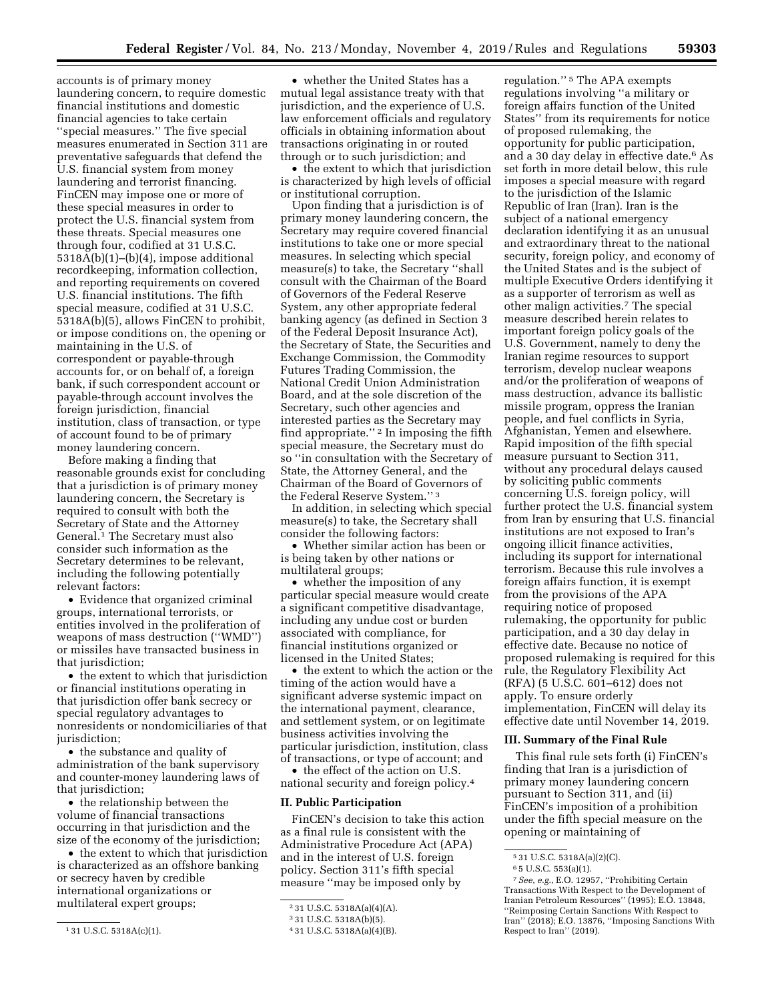accounts is of primary money laundering concern, to require domestic financial institutions and domestic financial agencies to take certain ''special measures.'' The five special measures enumerated in Section 311 are preventative safeguards that defend the U.S. financial system from money laundering and terrorist financing. FinCEN may impose one or more of these special measures in order to protect the U.S. financial system from these threats. Special measures one through four, codified at 31 U.S.C. 5318A(b)(1)–(b)(4), impose additional recordkeeping, information collection, and reporting requirements on covered U.S. financial institutions. The fifth special measure, codified at 31 U.S.C. 5318A(b)(5), allows FinCEN to prohibit, or impose conditions on, the opening or maintaining in the U.S. of correspondent or payable-through accounts for, or on behalf of, a foreign bank, if such correspondent account or payable-through account involves the foreign jurisdiction, financial institution, class of transaction, or type of account found to be of primary money laundering concern.

Before making a finding that reasonable grounds exist for concluding that a jurisdiction is of primary money laundering concern, the Secretary is required to consult with both the Secretary of State and the Attorney General.1 The Secretary must also consider such information as the Secretary determines to be relevant, including the following potentially relevant factors:

• Evidence that organized criminal groups, international terrorists, or entities involved in the proliferation of weapons of mass destruction (''WMD'') or missiles have transacted business in that jurisdiction;

• the extent to which that jurisdiction or financial institutions operating in that jurisdiction offer bank secrecy or special regulatory advantages to nonresidents or nondomiciliaries of that jurisdiction;

• the substance and quality of administration of the bank supervisory and counter-money laundering laws of that jurisdiction;

• the relationship between the volume of financial transactions occurring in that jurisdiction and the size of the economy of the jurisdiction;

• the extent to which that jurisdiction is characterized as an offshore banking or secrecy haven by credible international organizations or multilateral expert groups;

• whether the United States has a mutual legal assistance treaty with that jurisdiction, and the experience of U.S. law enforcement officials and regulatory officials in obtaining information about transactions originating in or routed through or to such jurisdiction; and

• the extent to which that jurisdiction is characterized by high levels of official or institutional corruption.

Upon finding that a jurisdiction is of primary money laundering concern, the Secretary may require covered financial institutions to take one or more special measures. In selecting which special measure(s) to take, the Secretary ''shall consult with the Chairman of the Board of Governors of the Federal Reserve System, any other appropriate federal banking agency (as defined in Section 3 of the Federal Deposit Insurance Act), the Secretary of State, the Securities and Exchange Commission, the Commodity Futures Trading Commission, the National Credit Union Administration Board, and at the sole discretion of the Secretary, such other agencies and interested parties as the Secretary may find appropriate.'' 2 In imposing the fifth special measure, the Secretary must do so ''in consultation with the Secretary of State, the Attorney General, and the Chairman of the Board of Governors of the Federal Reserve System.'' 3

In addition, in selecting which special measure(s) to take, the Secretary shall consider the following factors:

• Whether similar action has been or is being taken by other nations or multilateral groups;

• whether the imposition of any particular special measure would create a significant competitive disadvantage, including any undue cost or burden associated with compliance, for financial institutions organized or licensed in the United States;

• the extent to which the action or the timing of the action would have a significant adverse systemic impact on the international payment, clearance, and settlement system, or on legitimate business activities involving the particular jurisdiction, institution, class of transactions, or type of account; and

• the effect of the action on U.S. national security and foreign policy.4

#### **II. Public Participation**

FinCEN's decision to take this action as a final rule is consistent with the Administrative Procedure Act (APA) and in the interest of U.S. foreign policy. Section 311's fifth special measure ''may be imposed only by

regulation.'' 5 The APA exempts regulations involving ''a military or foreign affairs function of the United States'' from its requirements for notice of proposed rulemaking, the opportunity for public participation, and a 30 day delay in effective date.6 As set forth in more detail below, this rule imposes a special measure with regard to the jurisdiction of the Islamic Republic of Iran (Iran). Iran is the subject of a national emergency declaration identifying it as an unusual and extraordinary threat to the national security, foreign policy, and economy of the United States and is the subject of multiple Executive Orders identifying it as a supporter of terrorism as well as other malign activities.7 The special measure described herein relates to important foreign policy goals of the U.S. Government, namely to deny the Iranian regime resources to support terrorism, develop nuclear weapons and/or the proliferation of weapons of mass destruction, advance its ballistic missile program, oppress the Iranian people, and fuel conflicts in Syria, Afghanistan, Yemen and elsewhere. Rapid imposition of the fifth special measure pursuant to Section 311, without any procedural delays caused by soliciting public comments concerning U.S. foreign policy, will further protect the U.S. financial system from Iran by ensuring that U.S. financial institutions are not exposed to Iran's ongoing illicit finance activities, including its support for international terrorism. Because this rule involves a foreign affairs function, it is exempt from the provisions of the APA requiring notice of proposed rulemaking, the opportunity for public participation, and a 30 day delay in effective date. Because no notice of proposed rulemaking is required for this rule, the Regulatory Flexibility Act (RFA) (5 U.S.C. 601–612) does not apply. To ensure orderly implementation, FinCEN will delay its effective date until November 14, 2019.

#### **III. Summary of the Final Rule**

This final rule sets forth (i) FinCEN's finding that Iran is a jurisdiction of primary money laundering concern pursuant to Section 311, and (ii) FinCEN's imposition of a prohibition under the fifth special measure on the opening or maintaining of

<sup>1</sup> 31 U.S.C. 5318A(c)(1).

<sup>2</sup> 31 U.S.C. 5318A(a)(4)(A).

<sup>3</sup> 31 U.S.C. 5318A(b)(5).

<sup>4</sup> 31 U.S.C. 5318A(a)(4)(B).

<sup>5</sup> 31 U.S.C. 5318A(a)(2)(C).

<sup>6</sup> 5 U.S.C. 553(a)(1).

<sup>7</sup>*See, e.g.,* E.O. 12957, ''Prohibiting Certain Transactions With Respect to the Development of Iranian Petroleum Resources'' (1995); E.O. 13848, ''Reimposing Certain Sanctions With Respect to Iran'' (2018); E.O. 13876, ''Imposing Sanctions With Respect to Iran'' (2019).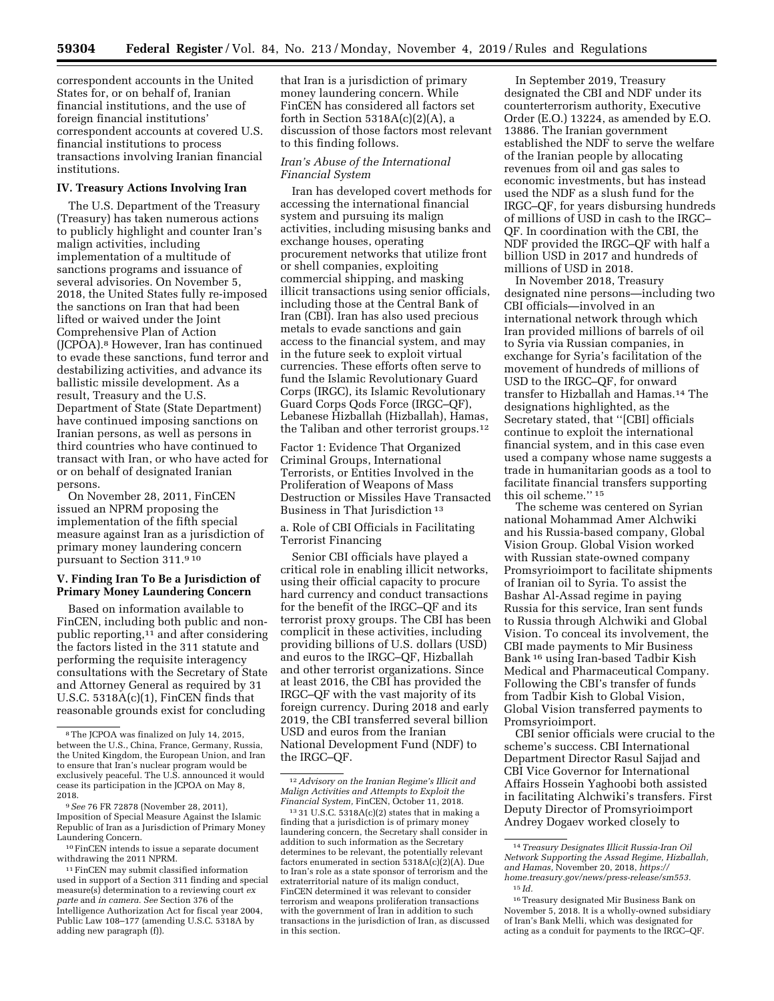correspondent accounts in the United States for, or on behalf of, Iranian financial institutions, and the use of foreign financial institutions' correspondent accounts at covered U.S. financial institutions to process transactions involving Iranian financial institutions.

#### **IV. Treasury Actions Involving Iran**

The U.S. Department of the Treasury (Treasury) has taken numerous actions to publicly highlight and counter Iran's malign activities, including implementation of a multitude of sanctions programs and issuance of several advisories. On November 5, 2018, the United States fully re-imposed the sanctions on Iran that had been lifted or waived under the Joint Comprehensive Plan of Action (JCPOA).8 However, Iran has continued to evade these sanctions, fund terror and destabilizing activities, and advance its ballistic missile development. As a result, Treasury and the U.S. Department of State (State Department) have continued imposing sanctions on Iranian persons, as well as persons in third countries who have continued to transact with Iran, or who have acted for or on behalf of designated Iranian persons.

On November 28, 2011, FinCEN issued an NPRM proposing the implementation of the fifth special measure against Iran as a jurisdiction of primary money laundering concern pursuant to Section 311.9 10

#### **V. Finding Iran To Be a Jurisdiction of Primary Money Laundering Concern**

Based on information available to FinCEN, including both public and nonpublic reporting,11 and after considering the factors listed in the 311 statute and performing the requisite interagency consultations with the Secretary of State and Attorney General as required by 31 U.S.C. 5318A(c)(1), FinCEN finds that reasonable grounds exist for concluding

that Iran is a jurisdiction of primary money laundering concern. While FinCEN has considered all factors set forth in Section  $5318A(c)(2)(A)$ , a discussion of those factors most relevant to this finding follows.

### *Iran's Abuse of the International Financial System*

Iran has developed covert methods for accessing the international financial system and pursuing its malign activities, including misusing banks and exchange houses, operating procurement networks that utilize front or shell companies, exploiting commercial shipping, and masking illicit transactions using senior officials, including those at the Central Bank of Iran (CBI). Iran has also used precious metals to evade sanctions and gain access to the financial system, and may in the future seek to exploit virtual currencies. These efforts often serve to fund the Islamic Revolutionary Guard Corps (IRGC), its Islamic Revolutionary Guard Corps Qods Force (IRGC–QF), Lebanese Hizballah (Hizballah), Hamas, the Taliban and other terrorist groups.12

Factor 1: Evidence That Organized Criminal Groups, International Terrorists, or Entities Involved in the Proliferation of Weapons of Mass Destruction or Missiles Have Transacted Business in That Jurisdiction 13

a. Role of CBI Officials in Facilitating Terrorist Financing

Senior CBI officials have played a critical role in enabling illicit networks, using their official capacity to procure hard currency and conduct transactions for the benefit of the IRGC–QF and its terrorist proxy groups. The CBI has been complicit in these activities, including providing billions of U.S. dollars (USD) and euros to the IRGC–QF, Hizballah and other terrorist organizations. Since at least 2016, the CBI has provided the IRGC–QF with the vast majority of its foreign currency. During 2018 and early 2019, the CBI transferred several billion USD and euros from the Iranian National Development Fund (NDF) to the IRGC–QF.

In September 2019, Treasury designated the CBI and NDF under its counterterrorism authority, Executive Order (E.O.) 13224, as amended by E.O. 13886. The Iranian government established the NDF to serve the welfare of the Iranian people by allocating revenues from oil and gas sales to economic investments, but has instead used the NDF as a slush fund for the IRGC–QF, for years disbursing hundreds of millions of USD in cash to the IRGC– QF. In coordination with the CBI, the NDF provided the IRGC–QF with half a billion USD in 2017 and hundreds of millions of USD in 2018.

In November 2018, Treasury designated nine persons—including two CBI officials—involved in an international network through which Iran provided millions of barrels of oil to Syria via Russian companies, in exchange for Syria's facilitation of the movement of hundreds of millions of USD to the IRGC–QF, for onward transfer to Hizballah and Hamas.14 The designations highlighted, as the Secretary stated, that ''[CBI] officials continue to exploit the international financial system, and in this case even used a company whose name suggests a trade in humanitarian goods as a tool to facilitate financial transfers supporting this oil scheme.'' 15

The scheme was centered on Syrian national Mohammad Amer Alchwiki and his Russia-based company, Global Vision Group. Global Vision worked with Russian state-owned company Promsyrioimport to facilitate shipments of Iranian oil to Syria. To assist the Bashar Al-Assad regime in paying Russia for this service, Iran sent funds to Russia through Alchwiki and Global Vision. To conceal its involvement, the CBI made payments to Mir Business Bank 16 using Iran-based Tadbir Kish Medical and Pharmaceutical Company. Following the CBI's transfer of funds from Tadbir Kish to Global Vision, Global Vision transferred payments to Promsyrioimport.

CBI senior officials were crucial to the scheme's success. CBI International Department Director Rasul Sajjad and CBI Vice Governor for International Affairs Hossein Yaghoobi both assisted in facilitating Alchwiki's transfers. First Deputy Director of Promsyrioimport Andrey Dogaev worked closely to

<sup>8</sup>The JCPOA was finalized on July 14, 2015, between the U.S., China, France, Germany, Russia, the United Kingdom, the European Union, and Iran to ensure that Iran's nuclear program would be exclusively peaceful. The U.S. announced it would cease its participation in the JCPOA on May 8, 2018.

<sup>9</sup>*See* 76 FR 72878 (November 28, 2011), Imposition of Special Measure Against the Islamic Republic of Iran as a Jurisdiction of Primary Money Laundering Concern.

<sup>10</sup>FinCEN intends to issue a separate document withdrawing the 2011 NPRM.

<sup>11</sup>FinCEN may submit classified information used in support of a Section 311 finding and special measure(s) determination to a reviewing court *ex parte* and *in camera. See* Section 376 of the Intelligence Authorization Act for fiscal year 2004, Public Law 108–177 (amending U.S.C. 5318A by adding new paragraph (f)).

<sup>12</sup>*Advisory on the Iranian Regime's Illicit and Malign Activities and Attempts to Exploit the* 

<sup>&</sup>lt;sup>13</sup> 31 U.S.C. 5318A(c)(2) states that in making a finding that a jurisdiction is of primary money laundering concern, the Secretary shall consider in addition to such information as the Secretary determines to be relevant, the potentially relevant factors enumerated in section 5318A(c)(2)(A). Due to Iran's role as a state sponsor of terrorism and the extraterritorial nature of its malign conduct, FinCEN determined it was relevant to consider terrorism and weapons proliferation transactions with the government of Iran in addition to such transactions in the jurisdiction of Iran, as discussed in this section.

<sup>14</sup>*Treasury Designates Illicit Russia-Iran Oil Network Supporting the Assad Regime, Hizballah, and Hamas,* November 20, 2018, *[https://](https://home.treasury.gov/news/press-release/sm553) [home.treasury.gov/news/press-release/sm553.](https://home.treasury.gov/news/press-release/sm553)*  15 *Id.* 

<sup>16</sup>Treasury designated Mir Business Bank on November 5, 2018. It is a wholly-owned subsidiary of Iran's Bank Melli, which was designated for acting as a conduit for payments to the IRGC–QF.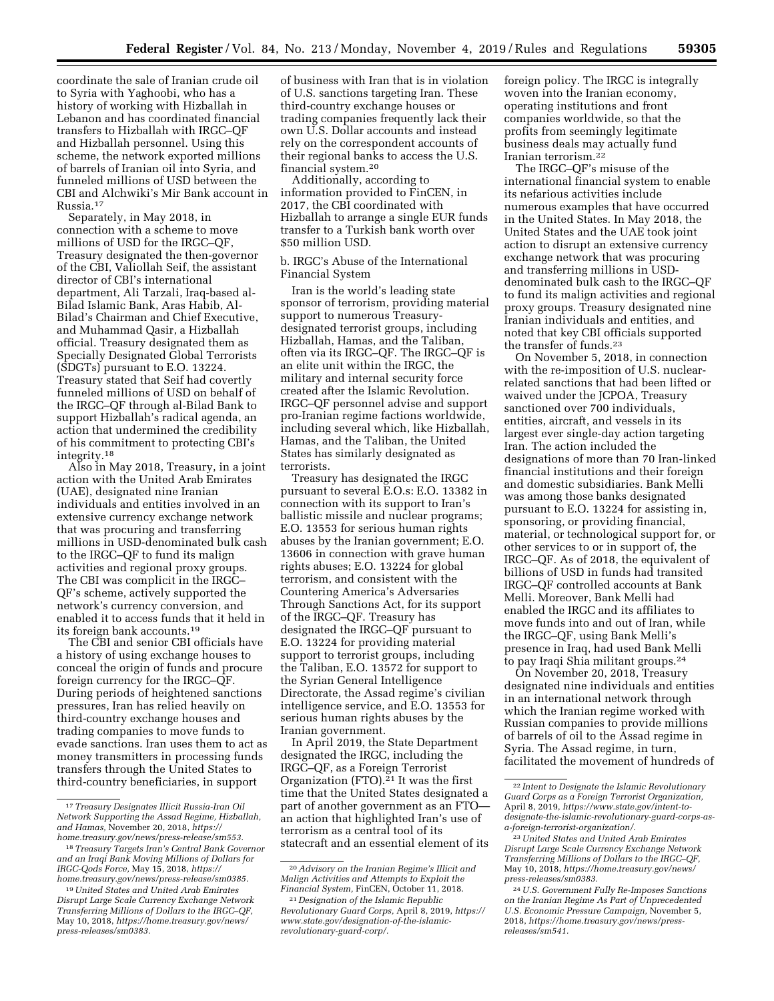coordinate the sale of Iranian crude oil to Syria with Yaghoobi, who has a history of working with Hizballah in Lebanon and has coordinated financial transfers to Hizballah with IRGC–QF and Hizballah personnel. Using this scheme, the network exported millions of barrels of Iranian oil into Syria, and funneled millions of USD between the CBI and Alchwiki's Mir Bank account in Russia.17

Separately, in May 2018, in connection with a scheme to move millions of USD for the IRGC–QF, Treasury designated the then-governor of the CBI, Valiollah Seif, the assistant director of CBI's international department, Ali Tarzali, Iraq-based al-Bilad Islamic Bank, Aras Habib, Al-Bilad's Chairman and Chief Executive, and Muhammad Qasir, a Hizballah official. Treasury designated them as Specially Designated Global Terrorists (SDGTs) pursuant to E.O. 13224. Treasury stated that Seif had covertly funneled millions of USD on behalf of the IRGC–QF through al-Bilad Bank to support Hizballah's radical agenda, an action that undermined the credibility of his commitment to protecting CBI's integrity.18

Also in May 2018, Treasury, in a joint action with the United Arab Emirates (UAE), designated nine Iranian individuals and entities involved in an extensive currency exchange network that was procuring and transferring millions in USD-denominated bulk cash to the IRGC–QF to fund its malign activities and regional proxy groups. The CBI was complicit in the IRGC– QF's scheme, actively supported the network's currency conversion, and enabled it to access funds that it held in its foreign bank accounts.19

The CBI and senior CBI officials have a history of using exchange houses to conceal the origin of funds and procure foreign currency for the IRGC–QF. During periods of heightened sanctions pressures, Iran has relied heavily on third-country exchange houses and trading companies to move funds to evade sanctions. Iran uses them to act as money transmitters in processing funds transfers through the United States to third-country beneficiaries, in support

of business with Iran that is in violation of U.S. sanctions targeting Iran. These third-country exchange houses or trading companies frequently lack their own U.S. Dollar accounts and instead rely on the correspondent accounts of their regional banks to access the U.S. financial system.20

Additionally, according to information provided to FinCEN, in 2017, the CBI coordinated with Hizballah to arrange a single EUR funds transfer to a Turkish bank worth over \$50 million USD.

## b. IRGC's Abuse of the International Financial System

Iran is the world's leading state sponsor of terrorism, providing material support to numerous Treasurydesignated terrorist groups, including Hizballah, Hamas, and the Taliban, often via its IRGC–QF. The IRGC–QF is an elite unit within the IRGC, the military and internal security force created after the Islamic Revolution. IRGC–QF personnel advise and support pro-Iranian regime factions worldwide, including several which, like Hizballah, Hamas, and the Taliban, the United States has similarly designated as terrorists.

Treasury has designated the IRGC pursuant to several E.O.s: E.O. 13382 in connection with its support to Iran's ballistic missile and nuclear programs; E.O. 13553 for serious human rights abuses by the Iranian government; E.O. 13606 in connection with grave human rights abuses; E.O. 13224 for global terrorism, and consistent with the Countering America's Adversaries Through Sanctions Act, for its support of the IRGC–QF. Treasury has designated the IRGC–QF pursuant to E.O. 13224 for providing material support to terrorist groups, including the Taliban, E.O. 13572 for support to the Syrian General Intelligence Directorate, the Assad regime's civilian intelligence service, and E.O. 13553 for serious human rights abuses by the Iranian government.

In April 2019, the State Department designated the IRGC, including the IRGC–QF, as a Foreign Terrorist Organization  $(FTO).<sup>21</sup>$  It was the first time that the United States designated a part of another government as an FTO an action that highlighted Iran's use of terrorism as a central tool of its statecraft and an essential element of its foreign policy. The IRGC is integrally woven into the Iranian economy, operating institutions and front companies worldwide, so that the profits from seemingly legitimate business deals may actually fund Iranian terrorism.22

The IRGC–QF's misuse of the international financial system to enable its nefarious activities include numerous examples that have occurred in the United States. In May 2018, the United States and the UAE took joint action to disrupt an extensive currency exchange network that was procuring and transferring millions in USDdenominated bulk cash to the IRGC–QF to fund its malign activities and regional proxy groups. Treasury designated nine Iranian individuals and entities, and noted that key CBI officials supported the transfer of funds.23

On November 5, 2018, in connection with the re-imposition of U.S. nuclearrelated sanctions that had been lifted or waived under the JCPOA, Treasury sanctioned over 700 individuals, entities, aircraft, and vessels in its largest ever single-day action targeting Iran. The action included the designations of more than 70 Iran-linked financial institutions and their foreign and domestic subsidiaries. Bank Melli was among those banks designated pursuant to E.O. 13224 for assisting in, sponsoring, or providing financial, material, or technological support for, or other services to or in support of, the IRGC–QF. As of 2018, the equivalent of billions of USD in funds had transited IRGC–QF controlled accounts at Bank Melli. Moreover, Bank Melli had enabled the IRGC and its affiliates to move funds into and out of Iran, while the IRGC–QF, using Bank Melli's presence in Iraq, had used Bank Melli to pay Iraqi Shia militant groups.<sup>24</sup>

On November 20, 2018, Treasury designated nine individuals and entities in an international network through which the Iranian regime worked with Russian companies to provide millions of barrels of oil to the Assad regime in Syria. The Assad regime, in turn, facilitated the movement of hundreds of

<sup>17</sup>*Treasury Designates Illicit Russia-Iran Oil Network Supporting the Assad Regime, Hizballah, and Hamas,* November 20, 2018, *[https://](https://home.treasury.gov/news/press-release/sm553) [home.treasury.gov/news/press-release/sm553.](https://home.treasury.gov/news/press-release/sm553)* 

<sup>18</sup>*Treasury Targets Iran's Central Bank Governor and an Iraqi Bank Moving Millions of Dollars for IRGC-Qods Force,* May 15, 2018, *[https://](https://home.treasury.gov/news/press-release/sm0385) [home.treasury.gov/news/press-release/sm0385.](https://home.treasury.gov/news/press-release/sm0385)* 

<sup>19</sup>*United States and United Arab Emirates Disrupt Large Scale Currency Exchange Network Transferring Millions of Dollars to the IRGC–QF,*  May 10, 2018, *[https://home.treasury.gov/news/](https://home.treasury.gov/news/press-releases/sm0383) [press-releases/sm0383.](https://home.treasury.gov/news/press-releases/sm0383)* 

<sup>20</sup>*Advisory on the Iranian Regime's Illicit and Malign Activities and Attempts to Exploit the Financial System,* FinCEN, October 11, 2018.

<sup>21</sup> *Designation of the Islamic Republic Revolutionary Guard Corps,* April 8, 2019, *[https://](https://www.state.gov/designation-of-the-islamic-revolutionary-guard-corp/)  [www.state.gov/designation-of-the-islamic](https://www.state.gov/designation-of-the-islamic-revolutionary-guard-corp/)[revolutionary-guard-corp/.](https://www.state.gov/designation-of-the-islamic-revolutionary-guard-corp/)* 

<sup>22</sup> *Intent to Designate the Islamic Revolutionary Guard Corps as a Foreign Terrorist Organization,*  April 8, 2019, *[https://www.state.gov/intent-to](https://www.state.gov/intent-to-designate-the-islamic-revolutionary-guard-corps-as-a-foreign-terrorist-organization/)[designate-the-islamic-revolutionary-guard-corps-as](https://www.state.gov/intent-to-designate-the-islamic-revolutionary-guard-corps-as-a-foreign-terrorist-organization/)[a-foreign-terrorist-organization/](https://www.state.gov/intent-to-designate-the-islamic-revolutionary-guard-corps-as-a-foreign-terrorist-organization/).* 

<sup>23</sup>*United States and United Arab Emirates Disrupt Large Scale Currency Exchange Network Transferring Millions of Dollars to the IRGC–QF,*  May 10, 2018, *[https://home.treasury.gov/news/](https://home.treasury.gov/news/press-releases/sm0383) [press-releases/sm0383.](https://home.treasury.gov/news/press-releases/sm0383)* 

<sup>24</sup>*U.S. Government Fully Re-Imposes Sanctions on the Iranian Regime As Part of Unprecedented U.S. Economic Pressure Campaign,* November 5, 2018, *[https://home.treasury.gov/news/press](https://home.treasury.gov/news/press-releases/sm541)[releases/sm541.](https://home.treasury.gov/news/press-releases/sm541)*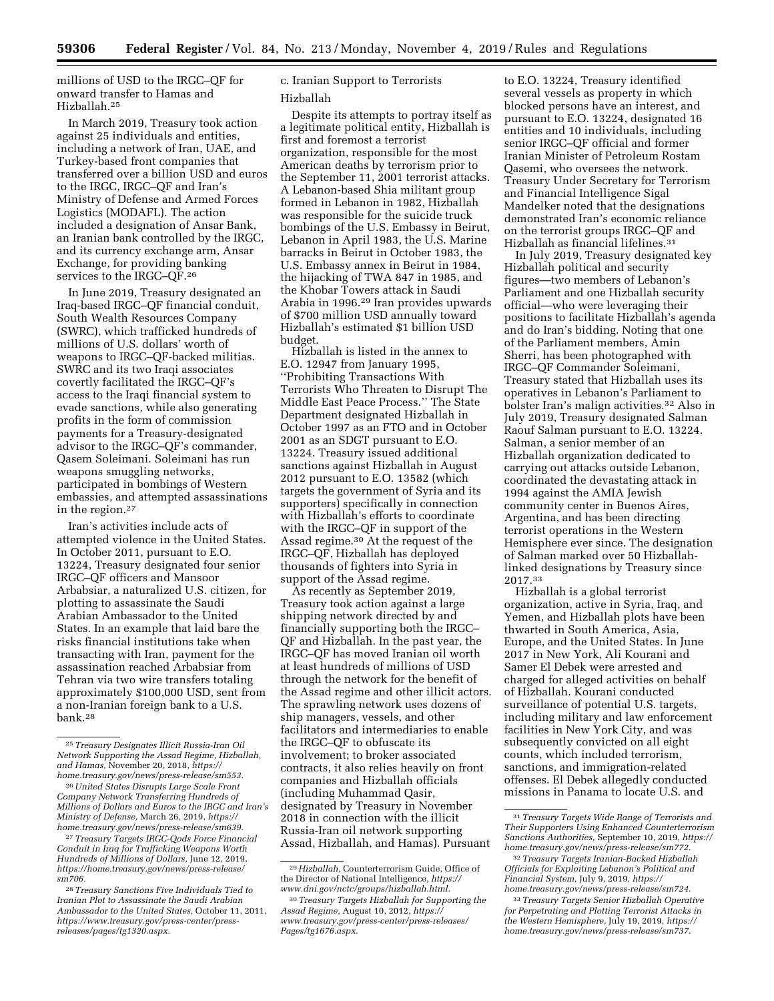millions of USD to the IRGC–QF for onward transfer to Hamas and Hizballah.25

In March 2019, Treasury took action against 25 individuals and entities, including a network of Iran, UAE, and Turkey-based front companies that transferred over a billion USD and euros to the IRGC, IRGC–QF and Iran's Ministry of Defense and Armed Forces Logistics (MODAFL). The action included a designation of Ansar Bank, an Iranian bank controlled by the IRGC, and its currency exchange arm, Ansar Exchange, for providing banking services to the IRGC–QF.26

In June 2019, Treasury designated an Iraq-based IRGC–QF financial conduit, South Wealth Resources Company (SWRC), which trafficked hundreds of millions of U.S. dollars' worth of weapons to IRGC–QF-backed militias. SWRC and its two Iraqi associates covertly facilitated the IRGC–QF's access to the Iraqi financial system to evade sanctions, while also generating profits in the form of commission payments for a Treasury-designated advisor to the IRGC–QF's commander, Qasem Soleimani. Soleimani has run weapons smuggling networks, participated in bombings of Western embassies, and attempted assassinations in the region.27

Iran's activities include acts of attempted violence in the United States. In October 2011, pursuant to E.O. 13224, Treasury designated four senior IRGC–QF officers and Mansoor Arbabsiar, a naturalized U.S. citizen, for plotting to assassinate the Saudi Arabian Ambassador to the United States. In an example that laid bare the risks financial institutions take when transacting with Iran, payment for the assassination reached Arbabsiar from Tehran via two wire transfers totaling approximately \$100,000 USD, sent from a non-Iranian foreign bank to a U.S. bank.28

27*Treasury Targets IRGC-Qods Force Financial Conduit in Iraq for Trafficking Weapons Worth Hundreds of Millions of Dollars,* June 12, 2019, *[https://home.treasury.gov/news/press-release/](https://home.treasury.gov/news/press-release/sm706)  [sm706.](https://home.treasury.gov/news/press-release/sm706)* 

# c. Iranian Support to Terrorists Hizballah

Despite its attempts to portray itself as a legitimate political entity, Hizballah is first and foremost a terrorist organization, responsible for the most American deaths by terrorism prior to the September 11, 2001 terrorist attacks. A Lebanon-based Shia militant group formed in Lebanon in 1982, Hizballah was responsible for the suicide truck bombings of the U.S. Embassy in Beirut, Lebanon in April 1983, the U.S. Marine barracks in Beirut in October 1983, the U.S. Embassy annex in Beirut in 1984, the hijacking of TWA 847 in 1985, and the Khobar Towers attack in Saudi Arabia in 1996.29 Iran provides upwards of \$700 million USD annually toward Hizballah's estimated \$1 billion USD budget.

Hizballah is listed in the annex to E.O. 12947 from January 1995, ''Prohibiting Transactions With Terrorists Who Threaten to Disrupt The Middle East Peace Process.'' The State Department designated Hizballah in October 1997 as an FTO and in October 2001 as an SDGT pursuant to E.O. 13224. Treasury issued additional sanctions against Hizballah in August 2012 pursuant to E.O. 13582 (which targets the government of Syria and its supporters) specifically in connection with Hizballah's efforts to coordinate with the IRGC–QF in support of the Assad regime.30 At the request of the IRGC–QF, Hizballah has deployed thousands of fighters into Syria in support of the Assad regime.

As recently as September 2019, Treasury took action against a large shipping network directed by and financially supporting both the IRGC– QF and Hizballah. In the past year, the IRGC–QF has moved Iranian oil worth at least hundreds of millions of USD through the network for the benefit of the Assad regime and other illicit actors. The sprawling network uses dozens of ship managers, vessels, and other facilitators and intermediaries to enable the IRGC–QF to obfuscate its involvement; to broker associated contracts, it also relies heavily on front companies and Hizballah officials (including Muhammad Qasir, designated by Treasury in November 2018 in connection with the illicit Russia-Iran oil network supporting Assad, Hizballah, and Hamas). Pursuant

to E.O. 13224, Treasury identified several vessels as property in which blocked persons have an interest, and pursuant to E.O. 13224, designated 16 entities and 10 individuals, including senior IRGC–QF official and former Iranian Minister of Petroleum Rostam Qasemi, who oversees the network. Treasury Under Secretary for Terrorism and Financial Intelligence Sigal Mandelker noted that the designations demonstrated Iran's economic reliance on the terrorist groups IRGC–QF and Hizballah as financial lifelines.31

In July 2019, Treasury designated key Hizballah political and security figures—two members of Lebanon's Parliament and one Hizballah security official—who were leveraging their positions to facilitate Hizballah's agenda and do Iran's bidding. Noting that one of the Parliament members, Amin Sherri, has been photographed with IRGC–QF Commander Soleimani, Treasury stated that Hizballah uses its operatives in Lebanon's Parliament to bolster Iran's malign activities.32 Also in July 2019, Treasury designated Salman Raouf Salman pursuant to E.O. 13224. Salman, a senior member of an Hizballah organization dedicated to carrying out attacks outside Lebanon, coordinated the devastating attack in 1994 against the AMIA Jewish community center in Buenos Aires, Argentina, and has been directing terrorist operations in the Western Hemisphere ever since. The designation of Salman marked over 50 Hizballahlinked designations by Treasury since 2017.33

Hizballah is a global terrorist organization, active in Syria, Iraq, and Yemen, and Hizballah plots have been thwarted in South America, Asia, Europe, and the United States. In June 2017 in New York, Ali Kourani and Samer El Debek were arrested and charged for alleged activities on behalf of Hizballah. Kourani conducted surveillance of potential U.S. targets, including military and law enforcement facilities in New York City, and was subsequently convicted on all eight counts, which included terrorism, sanctions, and immigration-related offenses. El Debek allegedly conducted missions in Panama to locate U.S. and

<sup>25</sup>*Treasury Designates Illicit Russia-Iran Oil Network Supporting the Assad Regime, Hizballah, and Hamas,* November 20, 2018, *[https://](https://home.treasury.gov/news/press-release/sm553) [home.treasury.gov/news/press-release/sm553.](https://home.treasury.gov/news/press-release/sm553)* 

<sup>26</sup>*United States Disrupts Large Scale Front Company Network Transferring Hundreds of Millions of Dollars and Euros to the IRGC and Iran's Ministry of Defense,* March 26, 2019, *[https://](https://home.treasury.gov/news/press-release/sm639) [home.treasury.gov/news/press-release/sm639.](https://home.treasury.gov/news/press-release/sm639)* 

<sup>28</sup>*Treasury Sanctions Five Individuals Tied to Iranian Plot to Assassinate the Saudi Arabian Ambassador to the United States,* October 11, 2011, *[https://www.treasury.gov/press-center/press](https://www.treasury.gov/press-center/press-releases/pages/tg1320.aspx)[releases/pages/tg1320.aspx.](https://www.treasury.gov/press-center/press-releases/pages/tg1320.aspx)* 

<sup>29</sup>*Hizballah,* Counterterrorism Guide, Office of the Director of National Intelligence, *[https://](https://www.dni.gov/nctc/groups/hizballah.html) [www.dni.gov/nctc/groups/hizballah.html.](https://www.dni.gov/nctc/groups/hizballah.html)* 

<sup>30</sup>*Treasury Targets Hizballah for Supporting the Assad Regime,* August 10, 2012, *[https://](https://www.treasury.gov/press-center/press-releases/Pages/tg1676.aspx) [www.treasury.gov/press-center/press-releases/](https://www.treasury.gov/press-center/press-releases/Pages/tg1676.aspx)  [Pages/tg1676.aspx.](https://www.treasury.gov/press-center/press-releases/Pages/tg1676.aspx)* 

<sup>31</sup>*Treasury Targets Wide Range of Terrorists and Their Supporters Using Enhanced Counterterrorism Sanctions Authorities,* September 10, 2019, *[https://](https://home.treasury.gov/news/press-release/sm772)  [home.treasury.gov/news/press-release/sm772.](https://home.treasury.gov/news/press-release/sm772)* 

<sup>32</sup>*Treasury Targets Iranian-Backed Hizballah Officials for Exploiting Lebanon's Political and Financial System,* July 9, 2019, *[https://](https://home.treasury.gov/news/press-release/sm724) [home.treasury.gov/news/press-release/sm724.](https://home.treasury.gov/news/press-release/sm724)* 

<sup>33</sup>*Treasury Targets Senior Hizballah Operative for Perpetrating and Plotting Terrorist Attacks in the Western Hemisphere,* July 19, 2019, *[https://](https://home.treasury.gov/news/press-release/sm737) [home.treasury.gov/news/press-release/sm737.](https://home.treasury.gov/news/press-release/sm737)*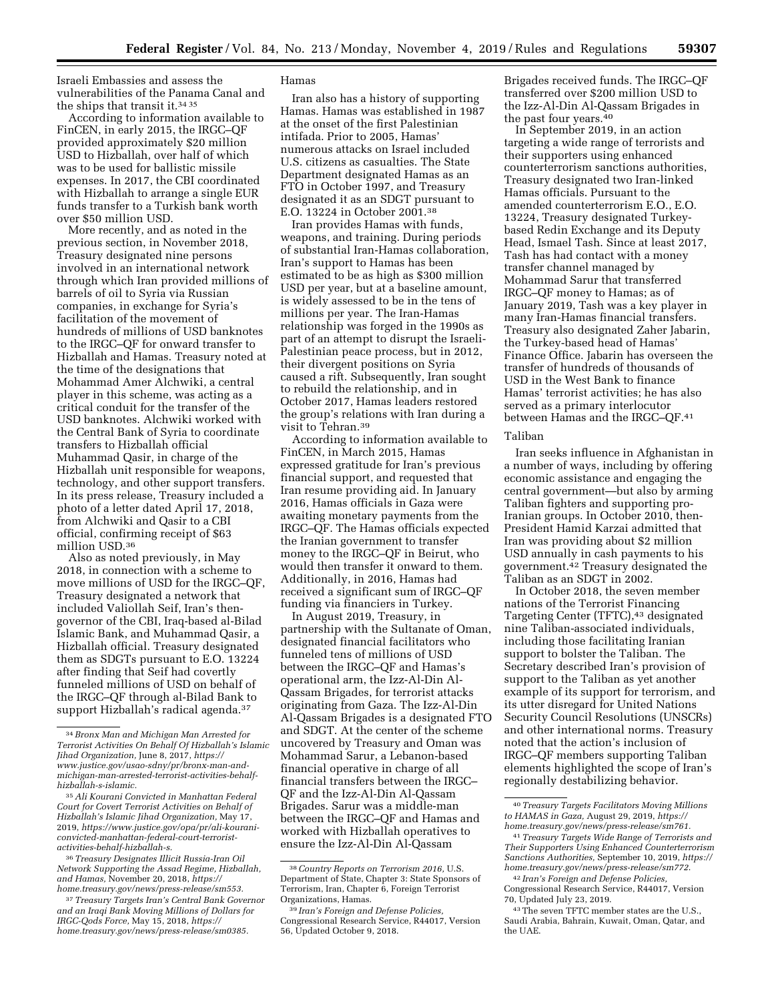Israeli Embassies and assess the vulnerabilities of the Panama Canal and the ships that transit it.34 35

According to information available to FinCEN, in early 2015, the IRGC–QF provided approximately \$20 million USD to Hizballah, over half of which was to be used for ballistic missile expenses. In 2017, the CBI coordinated with Hizballah to arrange a single EUR funds transfer to a Turkish bank worth over \$50 million USD.

More recently, and as noted in the previous section, in November 2018, Treasury designated nine persons involved in an international network through which Iran provided millions of barrels of oil to Syria via Russian companies, in exchange for Syria's facilitation of the movement of hundreds of millions of USD banknotes to the IRGC–QF for onward transfer to Hizballah and Hamas. Treasury noted at the time of the designations that Mohammad Amer Alchwiki, a central player in this scheme, was acting as a critical conduit for the transfer of the USD banknotes. Alchwiki worked with the Central Bank of Syria to coordinate transfers to Hizballah official Muhammad Qasir, in charge of the Hizballah unit responsible for weapons, technology, and other support transfers. In its press release, Treasury included a photo of a letter dated April 17, 2018, from Alchwiki and Qasir to a CBI official, confirming receipt of \$63 million USD.36

Also as noted previously, in May 2018, in connection with a scheme to move millions of USD for the IRGC–QF, Treasury designated a network that included Valiollah Seif, Iran's thengovernor of the CBI, Iraq-based al-Bilad Islamic Bank, and Muhammad Qasir, a Hizballah official. Treasury designated them as SDGTs pursuant to E.O. 13224 after finding that Seif had covertly funneled millions of USD on behalf of the IRGC–QF through al-Bilad Bank to support Hizballah's radical agenda.37

#### Hamas

Iran also has a history of supporting Hamas. Hamas was established in 1987 at the onset of the first Palestinian intifada. Prior to 2005, Hamas' numerous attacks on Israel included U.S. citizens as casualties. The State Department designated Hamas as an FTO in October 1997, and Treasury designated it as an SDGT pursuant to E.O. 13224 in October 2001.38

Iran provides Hamas with funds, weapons, and training. During periods of substantial Iran-Hamas collaboration, Iran's support to Hamas has been estimated to be as high as \$300 million USD per year, but at a baseline amount, is widely assessed to be in the tens of millions per year. The Iran-Hamas relationship was forged in the 1990s as part of an attempt to disrupt the Israeli-Palestinian peace process, but in 2012, their divergent positions on Syria caused a rift. Subsequently, Iran sought to rebuild the relationship, and in October 2017, Hamas leaders restored the group's relations with Iran during a visit to Tehran.39

According to information available to FinCEN, in March 2015, Hamas expressed gratitude for Iran's previous financial support, and requested that Iran resume providing aid. In January 2016, Hamas officials in Gaza were awaiting monetary payments from the IRGC–QF. The Hamas officials expected the Iranian government to transfer money to the IRGC–QF in Beirut, who would then transfer it onward to them. Additionally, in 2016, Hamas had received a significant sum of IRGC–QF funding via financiers in Turkey.

In August 2019, Treasury, in partnership with the Sultanate of Oman, designated financial facilitators who funneled tens of millions of USD between the IRGC–QF and Hamas's operational arm, the Izz-Al-Din Al-Qassam Brigades, for terrorist attacks originating from Gaza. The Izz-Al-Din Al-Qassam Brigades is a designated FTO and SDGT. At the center of the scheme uncovered by Treasury and Oman was Mohammad Sarur, a Lebanon-based financial operative in charge of all financial transfers between the IRGC– QF and the Izz-Al-Din Al-Qassam Brigades. Sarur was a middle-man between the IRGC–QF and Hamas and worked with Hizballah operatives to ensure the Izz-Al-Din Al-Qassam

Brigades received funds. The IRGC–QF transferred over \$200 million USD to the Izz-Al-Din Al-Qassam Brigades in the past four years.40

In September 2019, in an action targeting a wide range of terrorists and their supporters using enhanced counterterrorism sanctions authorities, Treasury designated two Iran-linked Hamas officials. Pursuant to the amended counterterrorism E.O., E.O. 13224, Treasury designated Turkeybased Redin Exchange and its Deputy Head, Ismael Tash. Since at least 2017, Tash has had contact with a money transfer channel managed by Mohammad Sarur that transferred IRGC–QF money to Hamas; as of January 2019, Tash was a key player in many Iran-Hamas financial transfers. Treasury also designated Zaher Jabarin, the Turkey-based head of Hamas' Finance Office. Jabarin has overseen the transfer of hundreds of thousands of USD in the West Bank to finance Hamas' terrorist activities; he has also served as a primary interlocutor between Hamas and the IRGC–QF.41

#### Taliban

Iran seeks influence in Afghanistan in a number of ways, including by offering economic assistance and engaging the central government—but also by arming Taliban fighters and supporting pro-Iranian groups. In October 2010, then-President Hamid Karzai admitted that Iran was providing about \$2 million USD annually in cash payments to his government.42 Treasury designated the Taliban as an SDGT in 2002.

In October 2018, the seven member nations of the Terrorist Financing Targeting Center (TFTC),<sup>43</sup> designated nine Taliban-associated individuals, including those facilitating Iranian support to bolster the Taliban. The Secretary described Iran's provision of support to the Taliban as yet another example of its support for terrorism, and its utter disregard for United Nations Security Council Resolutions (UNSCRs) and other international norms. Treasury noted that the action's inclusion of IRGC–QF members supporting Taliban elements highlighted the scope of Iran's regionally destabilizing behavior.

<sup>34</sup>*Bronx Man and Michigan Man Arrested for Terrorist Activities On Behalf Of Hizballah's Islamic Jihad Organization,* June 8, 2017, *[https://](https://www.justice.gov/usao-sdny/pr/bronx-man-and-michigan-man-arrested-terrorist-activities-behalf-hizballah-s-islamic) [www.justice.gov/usao-sdny/pr/bronx-man-and](https://www.justice.gov/usao-sdny/pr/bronx-man-and-michigan-man-arrested-terrorist-activities-behalf-hizballah-s-islamic)[michigan-man-arrested-terrorist-activities-behalf](https://www.justice.gov/usao-sdny/pr/bronx-man-and-michigan-man-arrested-terrorist-activities-behalf-hizballah-s-islamic)[hizballah-s-islamic.](https://www.justice.gov/usao-sdny/pr/bronx-man-and-michigan-man-arrested-terrorist-activities-behalf-hizballah-s-islamic)* 

<sup>35</sup>*Ali Kourani Convicted in Manhattan Federal Court for Covert Terrorist Activities on Behalf of Hizballah's Islamic Jihad Organization,* May 17, 2019, *[https://www.justice.gov/opa/pr/ali-kourani](https://www.justice.gov/opa/pr/ali-kourani-convicted-manhattan-federal-court-terrorist-activities-behalf-hizballah-s)[convicted-manhattan-federal-court-terrorist](https://www.justice.gov/opa/pr/ali-kourani-convicted-manhattan-federal-court-terrorist-activities-behalf-hizballah-s)[activities-behalf-hizballah-s.](https://www.justice.gov/opa/pr/ali-kourani-convicted-manhattan-federal-court-terrorist-activities-behalf-hizballah-s)* 

<sup>36</sup>*Treasury Designates Illicit Russia-Iran Oil Network Supporting the Assad Regime, Hizballah, and Hamas,* November 20, 2018, *[https://](https://home.treasury.gov/news/press-release/sm553) [home.treasury.gov/news/press-release/sm553.](https://home.treasury.gov/news/press-release/sm553)* 

<sup>37</sup>*Treasury Targets Iran's Central Bank Governor and an Iraqi Bank Moving Millions of Dollars for IRGC-Qods Force,* May 15, 2018, *[https://](https://home.treasury.gov/news/press-release/sm0385) [home.treasury.gov/news/press-release/sm0385.](https://home.treasury.gov/news/press-release/sm0385)* 

<sup>38</sup>*Country Reports on Terrorism 2016,* U.S. Department of State, Chapter 3: State Sponsors of Terrorism, Iran, Chapter 6, Foreign Terrorist Organizations, Hamas.

<sup>39</sup> *Iran's Foreign and Defense Policies,*  Congressional Research Service, R44017, Version 56, Updated October 9, 2018.

<sup>40</sup>*Treasury Targets Facilitators Moving Millions to HAMAS in Gaza,* August 29, 2019, *[https://](https://home.treasury.gov/news/press-release/sm761) [home.treasury.gov/news/press-release/sm761.](https://home.treasury.gov/news/press-release/sm761)* 

<sup>41</sup>*Treasury Targets Wide Range of Terrorists and Their Supporters Using Enhanced Counterterrorism Sanctions Authorities,* September 10, 2019, *[https://](https://home.treasury.gov/news/press-release/sm772)  [home.treasury.gov/news/press-release/sm772](https://home.treasury.gov/news/press-release/sm772)*.

<sup>42</sup> *Iran's Foreign and Defense Policies,*  Congressional Research Service, R44017, Version 70, Updated July 23, 2019.

<sup>43</sup>The seven TFTC member states are the U.S., Saudi Arabia, Bahrain, Kuwait, Oman, Qatar, and the UAE.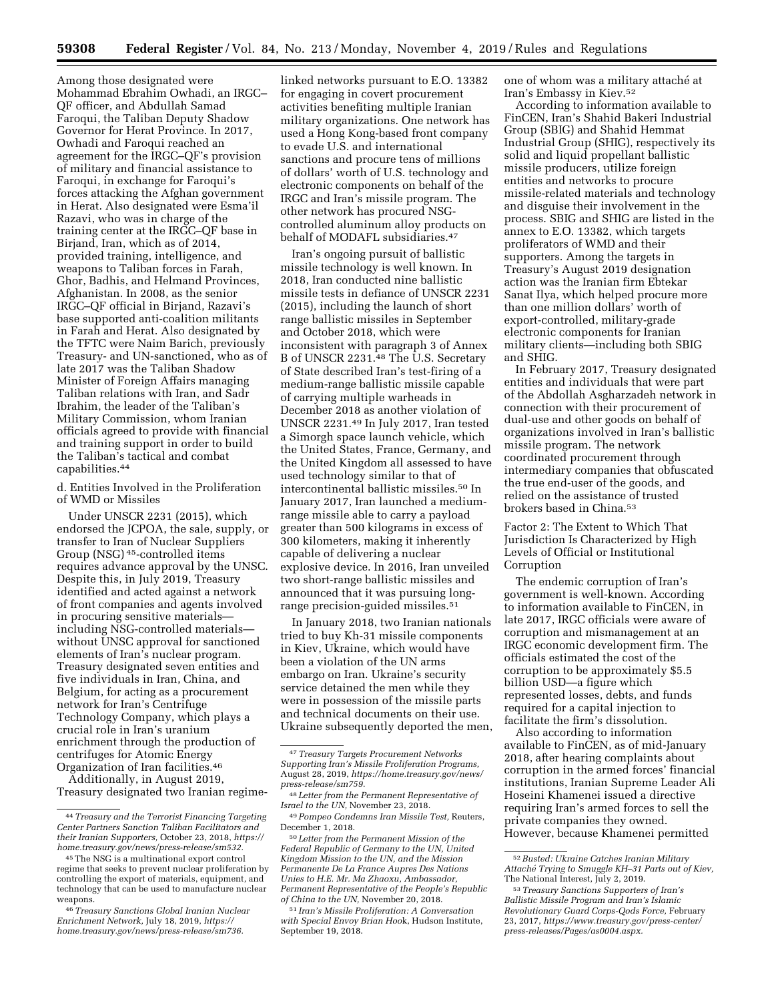Among those designated were Mohammad Ebrahim Owhadi, an IRGC– QF officer, and Abdullah Samad Faroqui, the Taliban Deputy Shadow Governor for Herat Province. In 2017, Owhadi and Faroqui reached an agreement for the IRGC–QF's provision of military and financial assistance to Faroqui, in exchange for Faroqui's forces attacking the Afghan government in Herat. Also designated were Esma'il Razavi, who was in charge of the training center at the IRGC–QF base in Birjand, Iran, which as of 2014, provided training, intelligence, and weapons to Taliban forces in Farah, Ghor, Badhis, and Helmand Provinces, Afghanistan. In 2008, as the senior IRGC–QF official in Birjand, Razavi's base supported anti-coalition militants in Farah and Herat. Also designated by the TFTC were Naim Barich, previously Treasury- and UN-sanctioned, who as of late 2017 was the Taliban Shadow Minister of Foreign Affairs managing Taliban relations with Iran, and Sadr Ibrahim, the leader of the Taliban's Military Commission, whom Iranian officials agreed to provide with financial and training support in order to build the Taliban's tactical and combat capabilities.44

d. Entities Involved in the Proliferation of WMD or Missiles

Under UNSCR 2231 (2015), which endorsed the JCPOA, the sale, supply, or transfer to Iran of Nuclear Suppliers Group (NSG) 45-controlled items requires advance approval by the UNSC. Despite this, in July 2019, Treasury identified and acted against a network of front companies and agents involved in procuring sensitive materials including NSG-controlled materials without UNSC approval for sanctioned elements of Iran's nuclear program. Treasury designated seven entities and five individuals in Iran, China, and Belgium, for acting as a procurement network for Iran's Centrifuge Technology Company, which plays a crucial role in Iran's uranium enrichment through the production of centrifuges for Atomic Energy Organization of Iran facilities.46

Additionally, in August 2019, Treasury designated two Iranian regimelinked networks pursuant to E.O. 13382 for engaging in covert procurement activities benefiting multiple Iranian military organizations. One network has used a Hong Kong-based front company to evade U.S. and international sanctions and procure tens of millions of dollars' worth of U.S. technology and electronic components on behalf of the IRGC and Iran's missile program. The other network has procured NSGcontrolled aluminum alloy products on behalf of MODAFL subsidiaries.<sup>47</sup>

Iran's ongoing pursuit of ballistic missile technology is well known. In 2018, Iran conducted nine ballistic missile tests in defiance of UNSCR 2231 (2015), including the launch of short range ballistic missiles in September and October 2018, which were inconsistent with paragraph 3 of Annex B of UNSCR 2231.48 The U.S. Secretary of State described Iran's test-firing of a medium-range ballistic missile capable of carrying multiple warheads in December 2018 as another violation of UNSCR 2231.49 In July 2017, Iran tested a Simorgh space launch vehicle, which the United States, France, Germany, and the United Kingdom all assessed to have used technology similar to that of intercontinental ballistic missiles.50 In January 2017, Iran launched a mediumrange missile able to carry a payload greater than 500 kilograms in excess of 300 kilometers, making it inherently capable of delivering a nuclear explosive device. In 2016, Iran unveiled two short-range ballistic missiles and announced that it was pursuing longrange precision-guided missiles.51

In January 2018, two Iranian nationals tried to buy Kh-31 missile components in Kiev, Ukraine, which would have been a violation of the UN arms embargo on Iran. Ukraine's security service detained the men while they were in possession of the missile parts and technical documents on their use. Ukraine subsequently deported the men,

50 *Letter from the Permanent Mission of the Federal Republic of Germany to the UN, United Kingdom Mission to the UN, and the Mission Permanente De La France Aupres Des Nations Unies to H.E. Mr. Ma Zhaoxu, Ambassador, Permanent Representative of the People's Republic of China to the UN,* November 20, 2018.

51 *Iran's Missile Proliferation: A Conversation with Special Envoy Brian Hoo*k, Hudson Institute, September 19, 2018.

one of whom was a military attaché at Iran's Embassy in Kiev.52

According to information available to FinCEN, Iran's Shahid Bakeri Industrial Group (SBIG) and Shahid Hemmat Industrial Group (SHIG), respectively its solid and liquid propellant ballistic missile producers, utilize foreign entities and networks to procure missile-related materials and technology and disguise their involvement in the process. SBIG and SHIG are listed in the annex to E.O. 13382, which targets proliferators of WMD and their supporters. Among the targets in Treasury's August 2019 designation action was the Iranian firm Ebtekar Sanat Ilya, which helped procure more than one million dollars' worth of export-controlled, military-grade electronic components for Iranian military clients—including both SBIG and SHIG.

In February 2017, Treasury designated entities and individuals that were part of the Abdollah Asgharzadeh network in connection with their procurement of dual-use and other goods on behalf of organizations involved in Iran's ballistic missile program. The network coordinated procurement through intermediary companies that obfuscated the true end-user of the goods, and relied on the assistance of trusted brokers based in China.53

Factor 2: The Extent to Which That Jurisdiction Is Characterized by High Levels of Official or Institutional Corruption

The endemic corruption of Iran's government is well-known. According to information available to FinCEN, in late 2017, IRGC officials were aware of corruption and mismanagement at an IRGC economic development firm. The officials estimated the cost of the corruption to be approximately \$5.5 billion USD—a figure which represented losses, debts, and funds required for a capital injection to facilitate the firm's dissolution.

Also according to information available to FinCEN, as of mid-January 2018, after hearing complaints about corruption in the armed forces' financial institutions, Iranian Supreme Leader Ali Hoseini Khamenei issued a directive requiring Iran's armed forces to sell the private companies they owned. However, because Khamenei permitted

<sup>44</sup>*Treasury and the Terrorist Financing Targeting Center Partners Sanction Taliban Facilitators and their Iranian Supporters,* October 23, 2018, *[https://](https://home.treasury.gov/news/press-release/sm532)  [home.treasury.gov/news/press-release/sm532.](https://home.treasury.gov/news/press-release/sm532)* 

<sup>45</sup>The NSG is a multinational export control regime that seeks to prevent nuclear proliferation by controlling the export of materials, equipment, and technology that can be used to manufacture nuclear weapons.

<sup>46</sup>*Treasury Sanctions Global Iranian Nuclear Enrichment Network,* July 18, 2019, *[https://](https://home.treasury.gov/news/press-release/sm736) [home.treasury.gov/news/press-release/sm736.](https://home.treasury.gov/news/press-release/sm736)* 

<sup>47</sup>*Treasury Targets Procurement Networks Supporting Iran's Missile Proliferation Programs,*  August 28, 2019, *[https://home.treasury.gov/news/](https://home.treasury.gov/news/press-release/sm759) [press-release/sm759.](https://home.treasury.gov/news/press-release/sm759)* 

<sup>48</sup> *Letter from the Permanent Representative of Israel to the UN,* November 23, 2018.

<sup>49</sup>*Pompeo Condemns Iran Missile Test,* Reuters, December 1, 2018.

<sup>52</sup>*Busted: Ukraine Catches Iranian Military Attache´ Trying to Smuggle KH–31 Parts out of Kiev,*  The National Interest, July 2, 2019.

<sup>53</sup>*Treasury Sanctions Supporters of Iran's Ballistic Missile Program and Iran's Islamic Revolutionary Guard Corps-Qods Force,* February 23, 2017, *[https://www.treasury.gov/press-center/](https://www.treasury.gov/press-center/press-releases/Pages/as0004.aspx) [press-releases/Pages/as0004.aspx.](https://www.treasury.gov/press-center/press-releases/Pages/as0004.aspx)*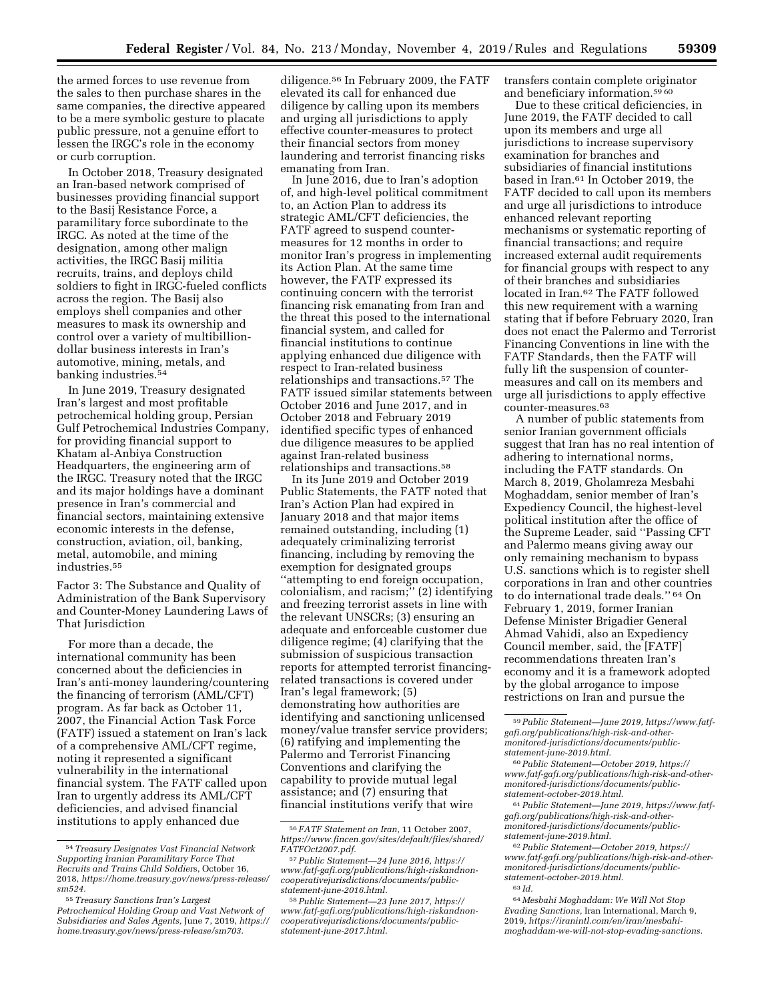the armed forces to use revenue from the sales to then purchase shares in the same companies, the directive appeared to be a mere symbolic gesture to placate public pressure, not a genuine effort to lessen the IRGC's role in the economy or curb corruption.

In October 2018, Treasury designated an Iran-based network comprised of businesses providing financial support to the Basij Resistance Force, a paramilitary force subordinate to the IRGC. As noted at the time of the designation, among other malign activities, the IRGC Basij militia recruits, trains, and deploys child soldiers to fight in IRGC-fueled conflicts across the region. The Basij also employs shell companies and other measures to mask its ownership and control over a variety of multibilliondollar business interests in Iran's automotive, mining, metals, and banking industries.54

In June 2019, Treasury designated Iran's largest and most profitable petrochemical holding group, Persian Gulf Petrochemical Industries Company, for providing financial support to Khatam al-Anbiya Construction Headquarters, the engineering arm of the IRGC. Treasury noted that the IRGC and its major holdings have a dominant presence in Iran's commercial and financial sectors, maintaining extensive economic interests in the defense, construction, aviation, oil, banking, metal, automobile, and mining industries.<sup>55</sup>

Factor 3: The Substance and Quality of Administration of the Bank Supervisory and Counter-Money Laundering Laws of That Jurisdiction

For more than a decade, the international community has been concerned about the deficiencies in Iran's anti-money laundering/countering the financing of terrorism (AML/CFT) program. As far back as October 11, 2007, the Financial Action Task Force (FATF) issued a statement on Iran's lack of a comprehensive AML/CFT regime, noting it represented a significant vulnerability in the international financial system. The FATF called upon Iran to urgently address its AML/CFT deficiencies, and advised financial institutions to apply enhanced due

diligence.56 In February 2009, the FATF elevated its call for enhanced due diligence by calling upon its members and urging all jurisdictions to apply effective counter-measures to protect their financial sectors from money laundering and terrorist financing risks emanating from Iran.

In June 2016, due to Iran's adoption of, and high-level political commitment to, an Action Plan to address its strategic AML/CFT deficiencies, the FATF agreed to suspend countermeasures for 12 months in order to monitor Iran's progress in implementing its Action Plan. At the same time however, the FATF expressed its continuing concern with the terrorist financing risk emanating from Iran and the threat this posed to the international financial system, and called for financial institutions to continue applying enhanced due diligence with respect to Iran-related business relationships and transactions.57 The FATF issued similar statements between October 2016 and June 2017, and in October 2018 and February 2019 identified specific types of enhanced due diligence measures to be applied against Iran-related business relationships and transactions.58

In its June 2019 and October 2019 Public Statements, the FATF noted that Iran's Action Plan had expired in January 2018 and that major items remained outstanding, including (1) adequately criminalizing terrorist financing, including by removing the exemption for designated groups ''attempting to end foreign occupation, colonialism, and racism;'' (2) identifying and freezing terrorist assets in line with the relevant UNSCRs; (3) ensuring an adequate and enforceable customer due diligence regime; (4) clarifying that the submission of suspicious transaction reports for attempted terrorist financingrelated transactions is covered under Iran's legal framework; (5) demonstrating how authorities are identifying and sanctioning unlicensed money/value transfer service providers; (6) ratifying and implementing the Palermo and Terrorist Financing Conventions and clarifying the capability to provide mutual legal assistance; and (7) ensuring that financial institutions verify that wire

transfers contain complete originator and beneficiary information.59 60

Due to these critical deficiencies, in June 2019, the FATF decided to call upon its members and urge all jurisdictions to increase supervisory examination for branches and subsidiaries of financial institutions based in Iran.61 In October 2019, the FATF decided to call upon its members and urge all jurisdictions to introduce enhanced relevant reporting mechanisms or systematic reporting of financial transactions; and require increased external audit requirements for financial groups with respect to any of their branches and subsidiaries located in Iran.62 The FATF followed this new requirement with a warning stating that if before February 2020, Iran does not enact the Palermo and Terrorist Financing Conventions in line with the FATF Standards, then the FATF will fully lift the suspension of countermeasures and call on its members and urge all jurisdictions to apply effective counter-measures.63

A number of public statements from senior Iranian government officials suggest that Iran has no real intention of adhering to international norms, including the FATF standards. On March 8, 2019, Gholamreza Mesbahi Moghaddam, senior member of Iran's Expediency Council, the highest-level political institution after the office of the Supreme Leader, said ''Passing CFT and Palermo means giving away our only remaining mechanism to bypass U.S. sanctions which is to register shell corporations in Iran and other countries to do international trade deals.'' 64 On February 1, 2019, former Iranian Defense Minister Brigadier General Ahmad Vahidi, also an Expediency Council member, said, the [FATF] recommendations threaten Iran's economy and it is a framework adopted by the global arrogance to impose restrictions on Iran and pursue the

64 *Mesbahi Moghaddam: We Will Not Stop Evading Sanctions,* Iran International, March 9, 2019, *[https://iranintl.com/en/iran/mesbahi](https://iranintl.com/en/iran/mesbahi-moghaddam-we-will-not-stop-evading-sanctions)[moghaddam-we-will-not-stop-evading-sanctions.](https://iranintl.com/en/iran/mesbahi-moghaddam-we-will-not-stop-evading-sanctions)* 

<sup>54</sup>*Treasury Designates Vast Financial Network Supporting Iranian Paramilitary Force That Recruits and Trains Child Soldier*s, October 16, 2018, *[https://home.treasury.gov/news/press-release/](https://home.treasury.gov/news/press-release/sm524) [sm524.](https://home.treasury.gov/news/press-release/sm524)* 

<sup>55</sup>*Treasury Sanctions Iran's Largest Petrochemical Holding Group and Vast Network of Subsidiaries and Sales Agents,* June 7, 2019, *[https://](https://home.treasury.gov/news/press-release/sm703) [home.treasury.gov/news/press-release/sm703.](https://home.treasury.gov/news/press-release/sm703)* 

<sup>56</sup> *FATF Statement on Iran,* 11 October 2007, *[https://www.fincen.gov/sites/default/files/shared/](https://www.fincen.gov/sites/default/files/shared/FATFOct2007.pdf)  [FATFOct2007.pdf.](https://www.fincen.gov/sites/default/files/shared/FATFOct2007.pdf)* 

<sup>57</sup>*Public Statement—24 June 2016, [https://](https://www.fatf-gafi.org/publications/high-riskandnon-cooperativejurisdictions/documents/public-statement-june-2016.html) [www.fatf-gafi.org/publications/high-riskandnon](https://www.fatf-gafi.org/publications/high-riskandnon-cooperativejurisdictions/documents/public-statement-june-2016.html)[cooperativejurisdictions/documents/public](https://www.fatf-gafi.org/publications/high-riskandnon-cooperativejurisdictions/documents/public-statement-june-2016.html)[statement-june-2016.html.](https://www.fatf-gafi.org/publications/high-riskandnon-cooperativejurisdictions/documents/public-statement-june-2016.html)* 

<sup>58</sup>*Public Statement—23 June 2017, [https://](https://www.fatf-gafi.org/publications/high-riskandnon-cooperativejurisdictions/documents/public-statement-june-2017.html) [www.fatf-gafi.org/publications/high-riskandnon](https://www.fatf-gafi.org/publications/high-riskandnon-cooperativejurisdictions/documents/public-statement-june-2017.html)[cooperativejurisdictions/documents/public](https://www.fatf-gafi.org/publications/high-riskandnon-cooperativejurisdictions/documents/public-statement-june-2017.html)[statement-june-2017.html.](https://www.fatf-gafi.org/publications/high-riskandnon-cooperativejurisdictions/documents/public-statement-june-2017.html)* 

<sup>59</sup>*Public Statement—June 2019, [https://www.fatf](https://www.fatf-gafi.org/publications/high-risk-and-other-monitored-jurisdictions/documents/public-statement-june-2019.html)[gafi.org/publications/high-risk-and-other](https://www.fatf-gafi.org/publications/high-risk-and-other-monitored-jurisdictions/documents/public-statement-june-2019.html)[monitored-jurisdictions/documents/public](https://www.fatf-gafi.org/publications/high-risk-and-other-monitored-jurisdictions/documents/public-statement-june-2019.html)[statement-june-2019.html.](https://www.fatf-gafi.org/publications/high-risk-and-other-monitored-jurisdictions/documents/public-statement-june-2019.html)* 

<sup>60</sup>*Public Statement—October 2019, [https://](https://www.fatf-gafi.org/publications/high-risk-and-other-monitored-jurisdictions/documents/public-statement-october-2019.html) [www.fatf-gafi.org/publications/high-risk-and-other](https://www.fatf-gafi.org/publications/high-risk-and-other-monitored-jurisdictions/documents/public-statement-october-2019.html)[monitored-jurisdictions/documents/public](https://www.fatf-gafi.org/publications/high-risk-and-other-monitored-jurisdictions/documents/public-statement-october-2019.html)[statement-october-2019.html.](https://www.fatf-gafi.org/publications/high-risk-and-other-monitored-jurisdictions/documents/public-statement-october-2019.html)* 

<sup>61</sup>*Public Statement—June 2019, [https://www.fatf](https://www.fatf-gafi.org/publications/high-risk-and-other-monitored-jurisdictions/documents/public-statement-june-2019.html)[gafi.org/publications/high-risk-and-other](https://www.fatf-gafi.org/publications/high-risk-and-other-monitored-jurisdictions/documents/public-statement-june-2019.html)[monitored-jurisdictions/documents/public](https://www.fatf-gafi.org/publications/high-risk-and-other-monitored-jurisdictions/documents/public-statement-june-2019.html)[statement-june-2019.html.](https://www.fatf-gafi.org/publications/high-risk-and-other-monitored-jurisdictions/documents/public-statement-june-2019.html)* 

<sup>62</sup>*Public Statement—October 2019, [https://](https://www.fatf-gafi.org/publications/high-risk-and-other-monitored-jurisdictions/documents/public-statement-october-2019.html) [www.fatf-gafi.org/publications/high-risk-and-other](https://www.fatf-gafi.org/publications/high-risk-and-other-monitored-jurisdictions/documents/public-statement-october-2019.html)[monitored-jurisdictions/documents/public](https://www.fatf-gafi.org/publications/high-risk-and-other-monitored-jurisdictions/documents/public-statement-october-2019.html)[statement-october-2019.html.](https://www.fatf-gafi.org/publications/high-risk-and-other-monitored-jurisdictions/documents/public-statement-october-2019.html)* 

<sup>63</sup> *Id.*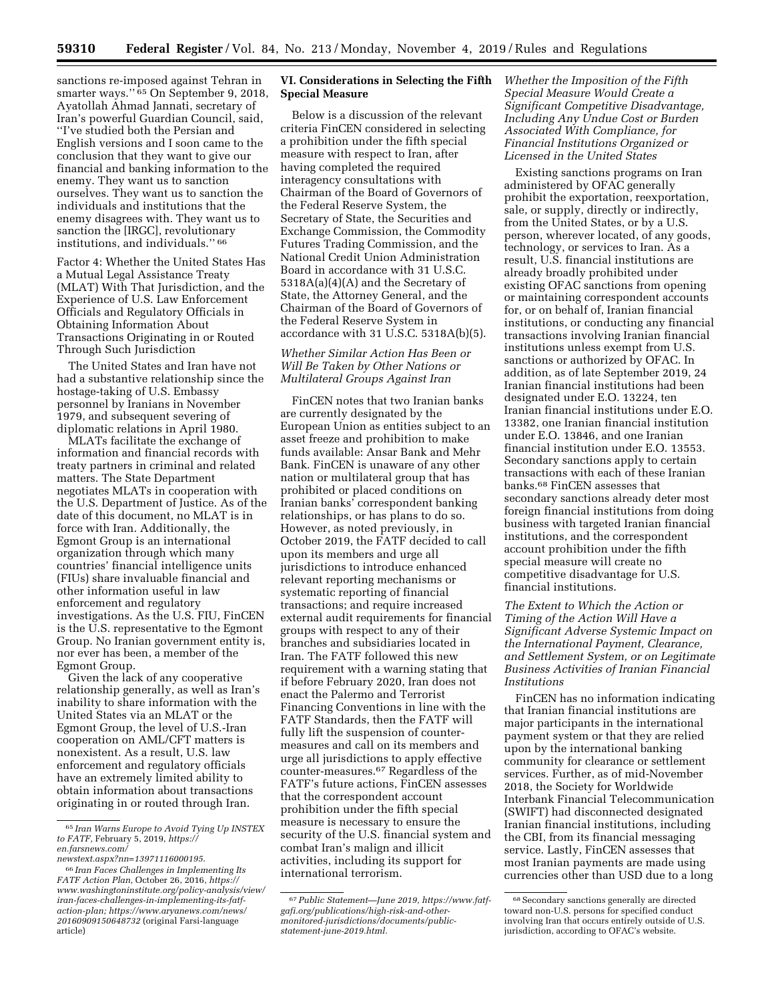sanctions re-imposed against Tehran in smarter ways."<sup>65</sup> On September 9, 2018, Ayatollah Ahmad Jannati, secretary of Iran's powerful Guardian Council, said, ''I've studied both the Persian and English versions and I soon came to the conclusion that they want to give our financial and banking information to the enemy. They want us to sanction ourselves. They want us to sanction the individuals and institutions that the enemy disagrees with. They want us to sanction the [IRGC], revolutionary institutions, and individuals.'' 66

Factor 4: Whether the United States Has a Mutual Legal Assistance Treaty (MLAT) With That Jurisdiction, and the Experience of U.S. Law Enforcement Officials and Regulatory Officials in Obtaining Information About Transactions Originating in or Routed Through Such Jurisdiction

The United States and Iran have not had a substantive relationship since the hostage-taking of U.S. Embassy personnel by Iranians in November 1979, and subsequent severing of diplomatic relations in April 1980.

MLATs facilitate the exchange of information and financial records with treaty partners in criminal and related matters. The State Department negotiates MLATs in cooperation with the U.S. Department of Justice. As of the date of this document, no MLAT is in force with Iran. Additionally, the Egmont Group is an international organization through which many countries' financial intelligence units (FIUs) share invaluable financial and other information useful in law enforcement and regulatory investigations. As the U.S. FIU, FinCEN is the U.S. representative to the Egmont Group. No Iranian government entity is, nor ever has been, a member of the Egmont Group.

Given the lack of any cooperative relationship generally, as well as Iran's inability to share information with the United States via an MLAT or the Egmont Group, the level of U.S.-Iran cooperation on AML/CFT matters is nonexistent. As a result, U.S. law enforcement and regulatory officials have an extremely limited ability to obtain information about transactions originating in or routed through Iran.

## **VI. Considerations in Selecting the Fifth Special Measure**

Below is a discussion of the relevant criteria FinCEN considered in selecting a prohibition under the fifth special measure with respect to Iran, after having completed the required interagency consultations with Chairman of the Board of Governors of the Federal Reserve System, the Secretary of State, the Securities and Exchange Commission, the Commodity Futures Trading Commission, and the National Credit Union Administration Board in accordance with 31 U.S.C. 5318A(a)(4)(A) and the Secretary of State, the Attorney General, and the Chairman of the Board of Governors of the Federal Reserve System in accordance with 31 U.S.C. 5318A(b)(5).

# *Whether Similar Action Has Been or Will Be Taken by Other Nations or Multilateral Groups Against Iran*

FinCEN notes that two Iranian banks are currently designated by the European Union as entities subject to an asset freeze and prohibition to make funds available: Ansar Bank and Mehr Bank. FinCEN is unaware of any other nation or multilateral group that has prohibited or placed conditions on Iranian banks' correspondent banking relationships, or has plans to do so. However, as noted previously, in October 2019, the FATF decided to call upon its members and urge all jurisdictions to introduce enhanced relevant reporting mechanisms or systematic reporting of financial transactions; and require increased external audit requirements for financial groups with respect to any of their branches and subsidiaries located in Iran. The FATF followed this new requirement with a warning stating that if before February 2020, Iran does not enact the Palermo and Terrorist Financing Conventions in line with the FATF Standards, then the FATF will fully lift the suspension of countermeasures and call on its members and urge all jurisdictions to apply effective counter-measures.67 Regardless of the FATF's future actions, FinCEN assesses that the correspondent account prohibition under the fifth special measure is necessary to ensure the security of the U.S. financial system and combat Iran's malign and illicit activities, including its support for international terrorism.

*Whether the Imposition of the Fifth Special Measure Would Create a Significant Competitive Disadvantage, Including Any Undue Cost or Burden Associated With Compliance, for Financial Institutions Organized or Licensed in the United States* 

Existing sanctions programs on Iran administered by OFAC generally prohibit the exportation, reexportation, sale, or supply, directly or indirectly, from the United States, or by a U.S. person, wherever located, of any goods, technology, or services to Iran. As a result, U.S. financial institutions are already broadly prohibited under existing OFAC sanctions from opening or maintaining correspondent accounts for, or on behalf of, Iranian financial institutions, or conducting any financial transactions involving Iranian financial institutions unless exempt from U.S. sanctions or authorized by OFAC. In addition, as of late September 2019, 24 Iranian financial institutions had been designated under E.O. 13224, ten Iranian financial institutions under E.O. 13382, one Iranian financial institution under E.O. 13846, and one Iranian financial institution under E.O. 13553. Secondary sanctions apply to certain transactions with each of these Iranian banks.68 FinCEN assesses that secondary sanctions already deter most foreign financial institutions from doing business with targeted Iranian financial institutions, and the correspondent account prohibition under the fifth special measure will create no competitive disadvantage for U.S. financial institutions.

*The Extent to Which the Action or Timing of the Action Will Have a Significant Adverse Systemic Impact on the International Payment, Clearance, and Settlement System, or on Legitimate Business Activities of Iranian Financial Institutions* 

FinCEN has no information indicating that Iranian financial institutions are major participants in the international payment system or that they are relied upon by the international banking community for clearance or settlement services. Further, as of mid-November 2018, the Society for Worldwide Interbank Financial Telecommunication (SWIFT) had disconnected designated Iranian financial institutions, including the CBI, from its financial messaging service. Lastly, FinCEN assesses that most Iranian payments are made using currencies other than USD due to a long

<sup>65</sup> *Iran Warns Europe to Avoid Tying Up INSTEX to FATF,* February 5, 2019, *[https://](https://en.farsnews.com/newstext.aspx?nn=13971116000195) [en.farsnews.com/](https://en.farsnews.com/newstext.aspx?nn=13971116000195)* 

*[newstext.aspx?nn=13971116000195](https://en.farsnews.com/newstext.aspx?nn=13971116000195)*.

<sup>66</sup> *Iran Faces Challenges in Implementing Its FATF Action Plan,* October 26, 2016, *[https://](https://www.washingtoninstitute.org/policy-analysis/view/iran-faces-challenges-in-implementing-its-fatf-action-plan) [www.washingtoninstitute.org/policy-analysis/view/](https://www.washingtoninstitute.org/policy-analysis/view/iran-faces-challenges-in-implementing-its-fatf-action-plan)  [iran-faces-challenges-in-implementing-its-fatf](https://www.washingtoninstitute.org/policy-analysis/view/iran-faces-challenges-in-implementing-its-fatf-action-plan)[action-plan;](https://www.washingtoninstitute.org/policy-analysis/view/iran-faces-challenges-in-implementing-its-fatf-action-plan) [https://www.aryanews.com/news/](https://www.aryanews.com/news/20160909150648732) [20160909150648732](https://www.aryanews.com/news/20160909150648732)* (original Farsi-language article)

<sup>67</sup>*Public Statement—June 2019, [https://www.fatf](https://www.fatf-gafi.org/publications/high-risk-and-other-monitored-jurisdictions/documents/public-statement-june-2019.html)[gafi.org/publications/high-risk-and-other](https://www.fatf-gafi.org/publications/high-risk-and-other-monitored-jurisdictions/documents/public-statement-june-2019.html)[monitored-jurisdictions/documents/public](https://www.fatf-gafi.org/publications/high-risk-and-other-monitored-jurisdictions/documents/public-statement-june-2019.html)[statement-june-2019.html.](https://www.fatf-gafi.org/publications/high-risk-and-other-monitored-jurisdictions/documents/public-statement-june-2019.html)* 

<sup>68</sup>Secondary sanctions generally are directed toward non-U.S. persons for specified conduct involving Iran that occurs entirely outside of U.S. jurisdiction, according to OFAC's website.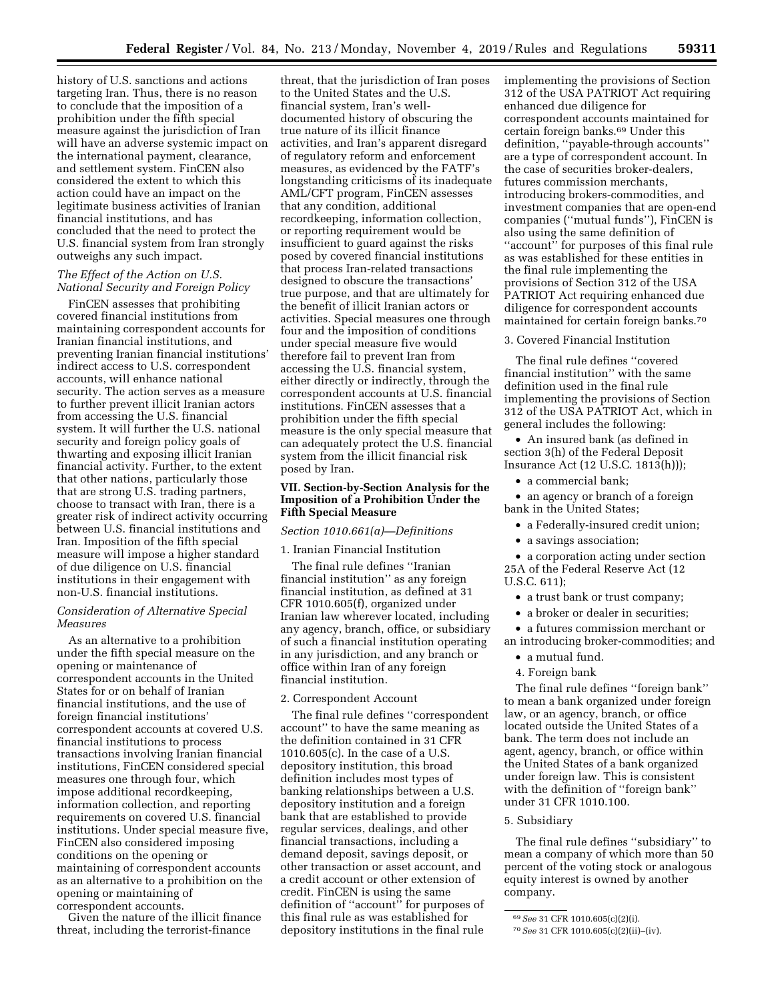history of U.S. sanctions and actions targeting Iran. Thus, there is no reason to conclude that the imposition of a prohibition under the fifth special measure against the jurisdiction of Iran will have an adverse systemic impact on the international payment, clearance, and settlement system. FinCEN also considered the extent to which this action could have an impact on the legitimate business activities of Iranian financial institutions, and has concluded that the need to protect the U.S. financial system from Iran strongly outweighs any such impact.

### *The Effect of the Action on U.S. National Security and Foreign Policy*

FinCEN assesses that prohibiting covered financial institutions from maintaining correspondent accounts for Iranian financial institutions, and preventing Iranian financial institutions' indirect access to U.S. correspondent accounts, will enhance national security. The action serves as a measure to further prevent illicit Iranian actors from accessing the U.S. financial system. It will further the U.S. national security and foreign policy goals of thwarting and exposing illicit Iranian financial activity. Further, to the extent that other nations, particularly those that are strong U.S. trading partners, choose to transact with Iran, there is a greater risk of indirect activity occurring between U.S. financial institutions and Iran. Imposition of the fifth special measure will impose a higher standard of due diligence on U.S. financial institutions in their engagement with non-U.S. financial institutions.

### *Consideration of Alternative Special Measures*

As an alternative to a prohibition under the fifth special measure on the opening or maintenance of correspondent accounts in the United States for or on behalf of Iranian financial institutions, and the use of foreign financial institutions' correspondent accounts at covered U.S. financial institutions to process transactions involving Iranian financial institutions, FinCEN considered special measures one through four, which impose additional recordkeeping, information collection, and reporting requirements on covered U.S. financial institutions. Under special measure five, FinCEN also considered imposing conditions on the opening or maintaining of correspondent accounts as an alternative to a prohibition on the opening or maintaining of correspondent accounts.

Given the nature of the illicit finance threat, including the terrorist-finance

threat, that the jurisdiction of Iran poses to the United States and the U.S. financial system, Iran's welldocumented history of obscuring the true nature of its illicit finance activities, and Iran's apparent disregard of regulatory reform and enforcement measures, as evidenced by the FATF's longstanding criticisms of its inadequate AML/CFT program, FinCEN assesses that any condition, additional recordkeeping, information collection, or reporting requirement would be insufficient to guard against the risks posed by covered financial institutions that process Iran-related transactions designed to obscure the transactions' true purpose, and that are ultimately for the benefit of illicit Iranian actors or activities. Special measures one through four and the imposition of conditions under special measure five would therefore fail to prevent Iran from accessing the U.S. financial system, either directly or indirectly, through the correspondent accounts at U.S. financial institutions. FinCEN assesses that a prohibition under the fifth special measure is the only special measure that can adequately protect the U.S. financial system from the illicit financial risk posed by Iran.

#### **VII. Section-by-Section Analysis for the Imposition of a Prohibition Under the Fifth Special Measure**

#### *Section 1010.661(a)—Definitions*

### 1. Iranian Financial Institution

The final rule defines ''Iranian financial institution'' as any foreign financial institution, as defined at 31 CFR 1010.605(f), organized under Iranian law wherever located, including any agency, branch, office, or subsidiary of such a financial institution operating in any jurisdiction, and any branch or office within Iran of any foreign financial institution.

#### 2. Correspondent Account

The final rule defines ''correspondent account'' to have the same meaning as the definition contained in 31 CFR 1010.605(c). In the case of a U.S. depository institution, this broad definition includes most types of banking relationships between a U.S. depository institution and a foreign bank that are established to provide regular services, dealings, and other financial transactions, including a demand deposit, savings deposit, or other transaction or asset account, and a credit account or other extension of credit. FinCEN is using the same definition of ''account'' for purposes of this final rule as was established for depository institutions in the final rule

implementing the provisions of Section 312 of the USA PATRIOT Act requiring enhanced due diligence for correspondent accounts maintained for certain foreign banks.69 Under this definition, ''payable-through accounts'' are a type of correspondent account. In the case of securities broker-dealers, futures commission merchants, introducing brokers-commodities, and investment companies that are open-end companies (''mutual funds''), FinCEN is also using the same definition of ''account'' for purposes of this final rule as was established for these entities in the final rule implementing the provisions of Section 312 of the USA PATRIOT Act requiring enhanced due diligence for correspondent accounts maintained for certain foreign banks.70

# 3. Covered Financial Institution

The final rule defines ''covered financial institution'' with the same definition used in the final rule implementing the provisions of Section 312 of the USA PATRIOT Act, which in general includes the following:

• An insured bank (as defined in section 3(h) of the Federal Deposit Insurance Act (12 U.S.C. 1813(h)));

• a commercial bank;

• an agency or branch of a foreign bank in the United States;

- a Federally-insured credit union;
- a savings association;
- a corporation acting under section 25A of the Federal Reserve Act (12 U.S.C. 611);
	-
	- a trust bank or trust company;
	- a broker or dealer in securities;

• a futures commission merchant or an introducing broker-commodities; and

- a mutual fund.
- 4. Foreign bank

The final rule defines ''foreign bank'' to mean a bank organized under foreign law, or an agency, branch, or office located outside the United States of a bank. The term does not include an agent, agency, branch, or office within the United States of a bank organized under foreign law. This is consistent with the definition of "foreign bank" under 31 CFR 1010.100.

#### 5. Subsidiary

The final rule defines ''subsidiary'' to mean a company of which more than 50 percent of the voting stock or analogous equity interest is owned by another company.

<sup>69</sup>*See* 31 CFR 1010.605(c)(2)(i).

<sup>70</sup>*See* 31 CFR 1010.605(c)(2)(ii)–(iv).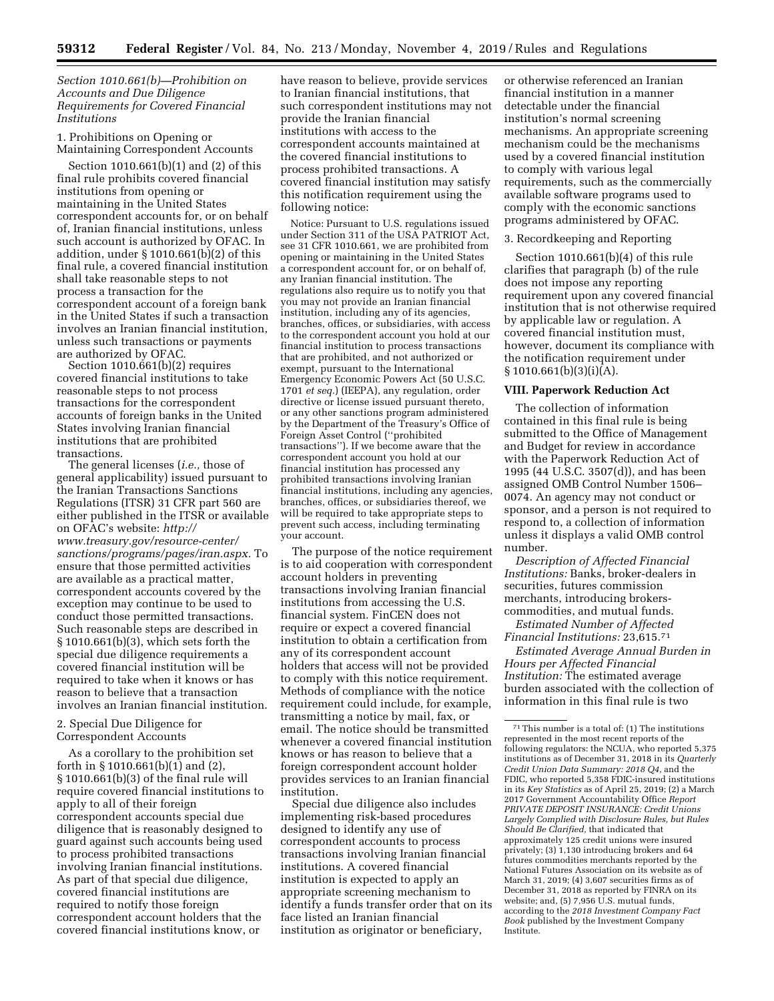## *Section 1010.661(b)—Prohibition on Accounts and Due Diligence Requirements for Covered Financial Institutions*

1. Prohibitions on Opening or Maintaining Correspondent Accounts

Section 1010.661(b)(1) and (2) of this final rule prohibits covered financial institutions from opening or maintaining in the United States correspondent accounts for, or on behalf of, Iranian financial institutions, unless such account is authorized by OFAC. In addition, under § 1010.661(b)(2) of this final rule, a covered financial institution shall take reasonable steps to not process a transaction for the correspondent account of a foreign bank in the United States if such a transaction involves an Iranian financial institution, unless such transactions or payments are authorized by OFAC.

Section 1010.661(b)(2) requires covered financial institutions to take reasonable steps to not process transactions for the correspondent accounts of foreign banks in the United States involving Iranian financial institutions that are prohibited transactions.

The general licenses (*i.e.,* those of general applicability) issued pursuant to the Iranian Transactions Sanctions Regulations (ITSR) 31 CFR part 560 are either published in the ITSR or available on OFAC's website: *[http://](http://www.treasury.gov/resource-center/sanctions/programs/pages/iran.aspx) [www.treasury.gov/resource-center/](http://www.treasury.gov/resource-center/sanctions/programs/pages/iran.aspx)  [sanctions/programs/pages/iran.aspx.](http://www.treasury.gov/resource-center/sanctions/programs/pages/iran.aspx)* To ensure that those permitted activities are available as a practical matter, correspondent accounts covered by the exception may continue to be used to conduct those permitted transactions. Such reasonable steps are described in § 1010.661(b)(3), which sets forth the special due diligence requirements a covered financial institution will be required to take when it knows or has reason to believe that a transaction involves an Iranian financial institution.

2. Special Due Diligence for Correspondent Accounts

As a corollary to the prohibition set forth in § 1010.661(b)(1) and (2), § 1010.661(b)(3) of the final rule will require covered financial institutions to apply to all of their foreign correspondent accounts special due diligence that is reasonably designed to guard against such accounts being used to process prohibited transactions involving Iranian financial institutions. As part of that special due diligence, covered financial institutions are required to notify those foreign correspondent account holders that the covered financial institutions know, or

have reason to believe, provide services to Iranian financial institutions, that such correspondent institutions may not provide the Iranian financial institutions with access to the correspondent accounts maintained at the covered financial institutions to process prohibited transactions. A covered financial institution may satisfy this notification requirement using the following notice:

Notice: Pursuant to U.S. regulations issued under Section 311 of the USA PATRIOT Act, see 31 CFR 1010.661, we are prohibited from opening or maintaining in the United States a correspondent account for, or on behalf of, any Iranian financial institution. The regulations also require us to notify you that you may not provide an Iranian financial institution, including any of its agencies, branches, offices, or subsidiaries, with access to the correspondent account you hold at our financial institution to process transactions that are prohibited, and not authorized or exempt, pursuant to the International Emergency Economic Powers Act (50 U.S.C. 1701 *et seq.*) (IEEPA), any regulation, order directive or license issued pursuant thereto, or any other sanctions program administered by the Department of the Treasury's Office of Foreign Asset Control (''prohibited transactions''). If we become aware that the correspondent account you hold at our financial institution has processed any prohibited transactions involving Iranian financial institutions, including any agencies, branches, offices, or subsidiaries thereof, we will be required to take appropriate steps to prevent such access, including terminating your account.

The purpose of the notice requirement is to aid cooperation with correspondent account holders in preventing transactions involving Iranian financial institutions from accessing the U.S. financial system. FinCEN does not require or expect a covered financial institution to obtain a certification from any of its correspondent account holders that access will not be provided to comply with this notice requirement. Methods of compliance with the notice requirement could include, for example, transmitting a notice by mail, fax, or email. The notice should be transmitted whenever a covered financial institution knows or has reason to believe that a foreign correspondent account holder provides services to an Iranian financial institution.

Special due diligence also includes implementing risk-based procedures designed to identify any use of correspondent accounts to process transactions involving Iranian financial institutions. A covered financial institution is expected to apply an appropriate screening mechanism to identify a funds transfer order that on its face listed an Iranian financial institution as originator or beneficiary,

or otherwise referenced an Iranian financial institution in a manner detectable under the financial institution's normal screening mechanisms. An appropriate screening mechanism could be the mechanisms used by a covered financial institution to comply with various legal requirements, such as the commercially available software programs used to comply with the economic sanctions programs administered by OFAC.

#### 3. Recordkeeping and Reporting

Section 1010.661(b)(4) of this rule clarifies that paragraph (b) of the rule does not impose any reporting requirement upon any covered financial institution that is not otherwise required by applicable law or regulation. A covered financial institution must, however, document its compliance with the notification requirement under  $§ 1010.661(b)(3)(i)(A).$ 

#### **VIII. Paperwork Reduction Act**

The collection of information contained in this final rule is being submitted to the Office of Management and Budget for review in accordance with the Paperwork Reduction Act of 1995 (44 U.S.C. 3507(d)), and has been assigned OMB Control Number 1506– 0074. An agency may not conduct or sponsor, and a person is not required to respond to, a collection of information unless it displays a valid OMB control number.

*Description of Affected Financial Institutions:* Banks, broker-dealers in securities, futures commission merchants, introducing brokerscommodities, and mutual funds.

*Estimated Number of Affected Financial Institutions:* 23,615.71

*Estimated Average Annual Burden in Hours per Affected Financial Institution:* The estimated average burden associated with the collection of information in this final rule is two

 $71$ This number is a total of: (1) The institutions represented in the most recent reports of the following regulators: the NCUA, who reported 5,375 institutions as of December 31, 2018 in its *Quarterly Credit Union Data Summary: 2018 Q4,* and the FDIC, who reported 5,358 FDIC-insured institutions in its *Key Statistics* as of April 25, 2019; (2) a March 2017 Government Accountability Office *Report PRIVATE DEPOSIT INSURANCE: Credit Unions Largely Complied with Disclosure Rules, but Rules Should Be Clarified,* that indicated that approximately 125 credit unions were insured privately; (3) 1,130 introducing brokers and 64 futures commodities merchants reported by the National Futures Association on its website as of March 31, 2019; (4) 3,607 securities firms as of December 31, 2018 as reported by FINRA on its website; and, (5) 7,956 U.S. mutual funds, according to the *2018 Investment Company Fact Book* published by the Investment Company Institute.